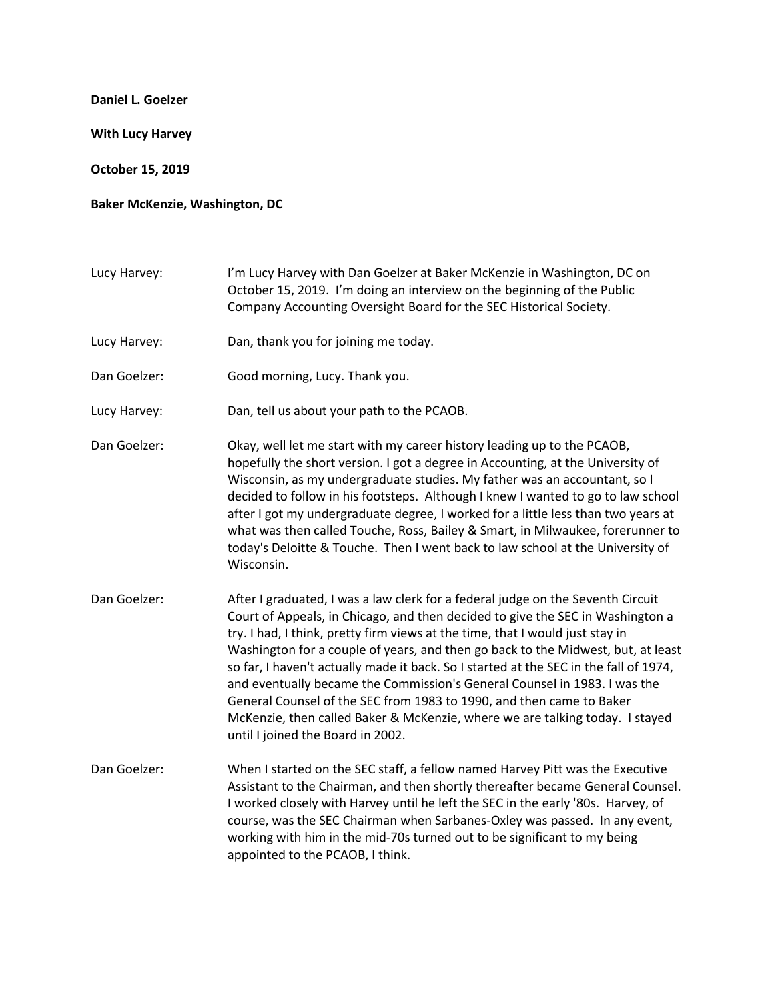## **Daniel L. Goelzer**

**With Lucy Harvey**

**October 15, 2019**

## **Baker McKenzie, Washington, DC**

Lucy Harvey: I'm Lucy Harvey with Dan Goelzer at Baker McKenzie in Washington, DC on October 15, 2019. I'm doing an interview on the beginning of the Public Company Accounting Oversight Board for the SEC Historical Society.

- Lucy Harvey: Dan, thank you for joining me today.
- Dan Goelzer: Good morning, Lucy. Thank you.
- Lucy Harvey: Dan, tell us about your path to the PCAOB.
- Dan Goelzer: Okay, well let me start with my career history leading up to the PCAOB, hopefully the short version. I got a degree in Accounting, at the University of Wisconsin, as my undergraduate studies. My father was an accountant, so I decided to follow in his footsteps. Although I knew I wanted to go to law school after I got my undergraduate degree, I worked for a little less than two years at what was then called Touche, Ross, Bailey & Smart, in Milwaukee, forerunner to today's Deloitte & Touche. Then I went back to law school at the University of Wisconsin.
- Dan Goelzer: After I graduated, I was a law clerk for a federal judge on the Seventh Circuit Court of Appeals, in Chicago, and then decided to give the SEC in Washington a try. I had, I think, pretty firm views at the time, that I would just stay in Washington for a couple of years, and then go back to the Midwest, but, at least so far, I haven't actually made it back. So I started at the SEC in the fall of 1974, and eventually became the Commission's General Counsel in 1983. I was the General Counsel of the SEC from 1983 to 1990, and then came to Baker McKenzie, then called Baker & McKenzie, where we are talking today. I stayed until I joined the Board in 2002.
- Dan Goelzer: When I started on the SEC staff, a fellow named Harvey Pitt was the Executive Assistant to the Chairman, and then shortly thereafter became General Counsel. I worked closely with Harvey until he left the SEC in the early '80s. Harvey, of course, was the SEC Chairman when Sarbanes-Oxley was passed. In any event, working with him in the mid-70s turned out to be significant to my being appointed to the PCAOB, I think.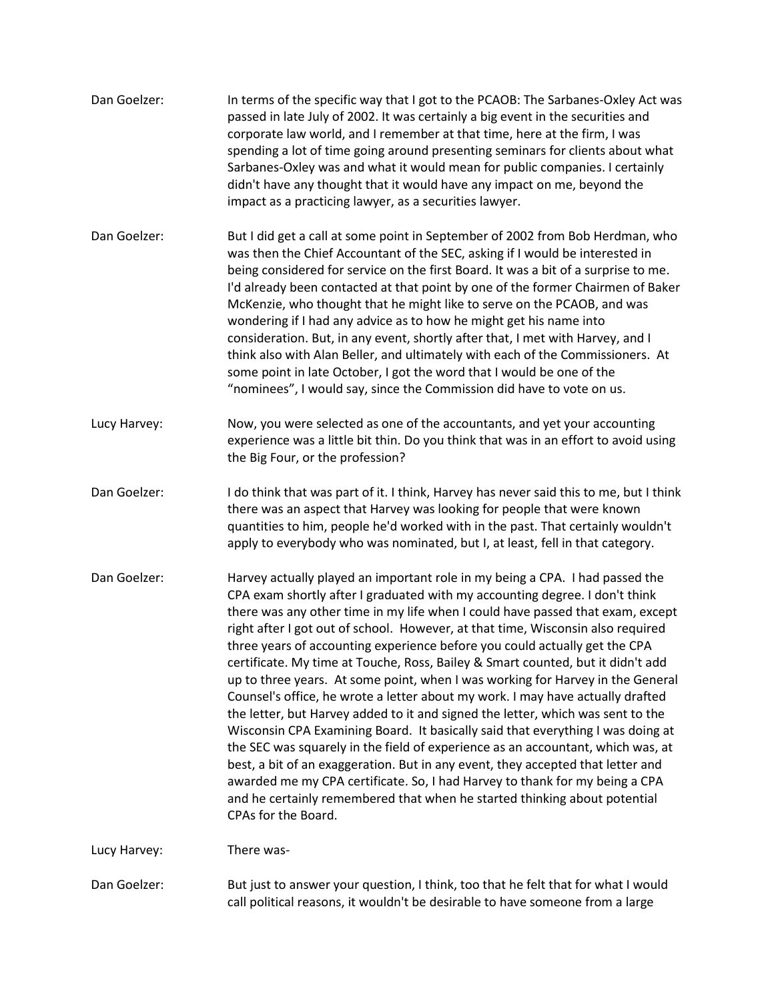| Dan Goelzer: | In terms of the specific way that I got to the PCAOB: The Sarbanes-Oxley Act was<br>passed in late July of 2002. It was certainly a big event in the securities and<br>corporate law world, and I remember at that time, here at the firm, I was<br>spending a lot of time going around presenting seminars for clients about what<br>Sarbanes-Oxley was and what it would mean for public companies. I certainly<br>didn't have any thought that it would have any impact on me, beyond the<br>impact as a practicing lawyer, as a securities lawyer.                                                                                                                                                                                                                                                                                                                                                                                                                                                                                                                                                                                                                                               |
|--------------|------------------------------------------------------------------------------------------------------------------------------------------------------------------------------------------------------------------------------------------------------------------------------------------------------------------------------------------------------------------------------------------------------------------------------------------------------------------------------------------------------------------------------------------------------------------------------------------------------------------------------------------------------------------------------------------------------------------------------------------------------------------------------------------------------------------------------------------------------------------------------------------------------------------------------------------------------------------------------------------------------------------------------------------------------------------------------------------------------------------------------------------------------------------------------------------------------|
| Dan Goelzer: | But I did get a call at some point in September of 2002 from Bob Herdman, who<br>was then the Chief Accountant of the SEC, asking if I would be interested in<br>being considered for service on the first Board. It was a bit of a surprise to me.<br>I'd already been contacted at that point by one of the former Chairmen of Baker<br>McKenzie, who thought that he might like to serve on the PCAOB, and was<br>wondering if I had any advice as to how he might get his name into<br>consideration. But, in any event, shortly after that, I met with Harvey, and I<br>think also with Alan Beller, and ultimately with each of the Commissioners. At<br>some point in late October, I got the word that I would be one of the<br>"nominees", I would say, since the Commission did have to vote on us.                                                                                                                                                                                                                                                                                                                                                                                        |
| Lucy Harvey: | Now, you were selected as one of the accountants, and yet your accounting<br>experience was a little bit thin. Do you think that was in an effort to avoid using<br>the Big Four, or the profession?                                                                                                                                                                                                                                                                                                                                                                                                                                                                                                                                                                                                                                                                                                                                                                                                                                                                                                                                                                                                 |
| Dan Goelzer: | I do think that was part of it. I think, Harvey has never said this to me, but I think<br>there was an aspect that Harvey was looking for people that were known<br>quantities to him, people he'd worked with in the past. That certainly wouldn't<br>apply to everybody who was nominated, but I, at least, fell in that category.                                                                                                                                                                                                                                                                                                                                                                                                                                                                                                                                                                                                                                                                                                                                                                                                                                                                 |
| Dan Goelzer: | Harvey actually played an important role in my being a CPA. I had passed the<br>CPA exam shortly after I graduated with my accounting degree. I don't think<br>there was any other time in my life when I could have passed that exam, except<br>right after I got out of school. However, at that time, Wisconsin also required<br>three years of accounting experience before you could actually get the CPA<br>certificate. My time at Touche, Ross, Bailey & Smart counted, but it didn't add<br>up to three years. At some point, when I was working for Harvey in the General<br>Counsel's office, he wrote a letter about my work. I may have actually drafted<br>the letter, but Harvey added to it and signed the letter, which was sent to the<br>Wisconsin CPA Examining Board. It basically said that everything I was doing at<br>the SEC was squarely in the field of experience as an accountant, which was, at<br>best, a bit of an exaggeration. But in any event, they accepted that letter and<br>awarded me my CPA certificate. So, I had Harvey to thank for my being a CPA<br>and he certainly remembered that when he started thinking about potential<br>CPAs for the Board. |
| Lucy Harvey: | There was-                                                                                                                                                                                                                                                                                                                                                                                                                                                                                                                                                                                                                                                                                                                                                                                                                                                                                                                                                                                                                                                                                                                                                                                           |
| Dan Goelzer: | But just to answer your question, I think, too that he felt that for what I would<br>call political reasons, it wouldn't be desirable to have someone from a large                                                                                                                                                                                                                                                                                                                                                                                                                                                                                                                                                                                                                                                                                                                                                                                                                                                                                                                                                                                                                                   |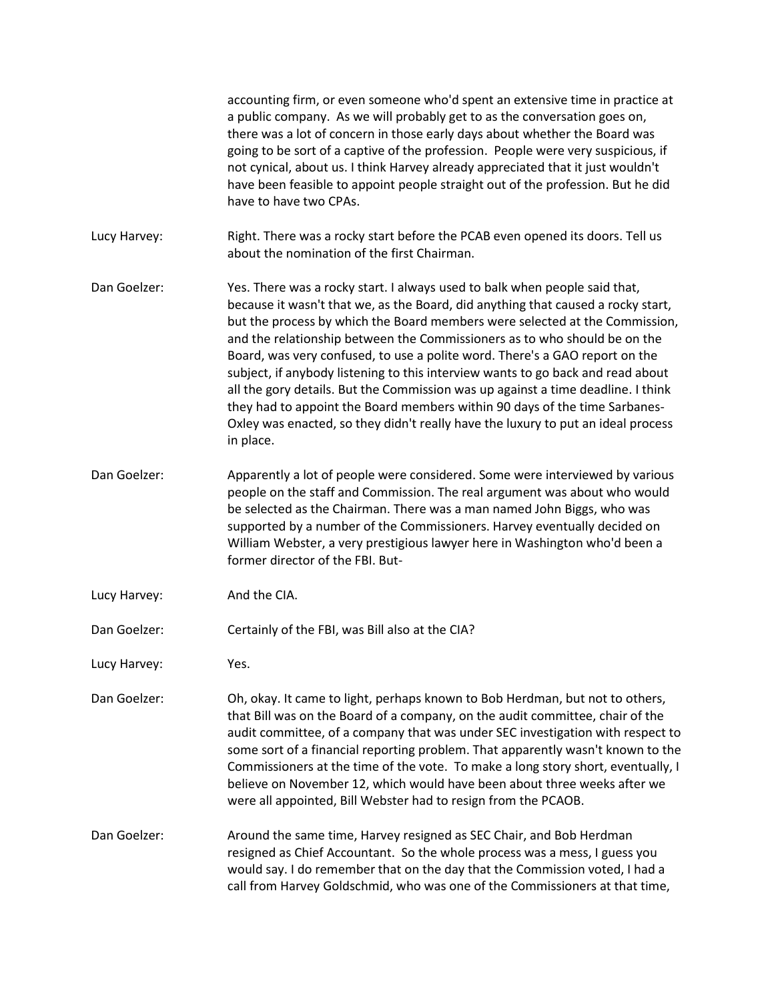accounting firm, or even someone who'd spent an extensive time in practice at a public company. As we will probably get to as the conversation goes on, there was a lot of concern in those early days about whether the Board was going to be sort of a captive of the profession. People were very suspicious, if not cynical, about us. I think Harvey already appreciated that it just wouldn't have been feasible to appoint people straight out of the profession. But he did have to have two CPAs. Lucy Harvey: Right. There was a rocky start before the PCAB even opened its doors. Tell us about the nomination of the first Chairman. Dan Goelzer: Yes. There was a rocky start. I always used to balk when people said that, because it wasn't that we, as the Board, did anything that caused a rocky start, but the process by which the Board members were selected at the Commission, and the relationship between the Commissioners as to who should be on the Board, was very confused, to use a polite word. There's a GAO report on the subject, if anybody listening to this interview wants to go back and read about all the gory details. But the Commission was up against a time deadline. I think they had to appoint the Board members within 90 days of the time Sarbanes-Oxley was enacted, so they didn't really have the luxury to put an ideal process in place. Dan Goelzer: Apparently a lot of people were considered. Some were interviewed by various people on the staff and Commission. The real argument was about who would be selected as the Chairman. There was a man named John Biggs, who was supported by a number of the Commissioners. Harvey eventually decided on William Webster, a very prestigious lawyer here in Washington who'd been a former director of the FBI. But-Lucy Harvey: And the CIA. Dan Goelzer: Certainly of the FBI, was Bill also at the CIA? Lucy Harvey: Yes. Dan Goelzer: Oh, okay. It came to light, perhaps known to Bob Herdman, but not to others, that Bill was on the Board of a company, on the audit committee, chair of the audit committee, of a company that was under SEC investigation with respect to some sort of a financial reporting problem. That apparently wasn't known to the Commissioners at the time of the vote. To make a long story short, eventually, I believe on November 12, which would have been about three weeks after we were all appointed, Bill Webster had to resign from the PCAOB. Dan Goelzer: Around the same time, Harvey resigned as SEC Chair, and Bob Herdman resigned as Chief Accountant. So the whole process was a mess, I guess you would say. I do remember that on the day that the Commission voted, I had a call from Harvey Goldschmid, who was one of the Commissioners at that time,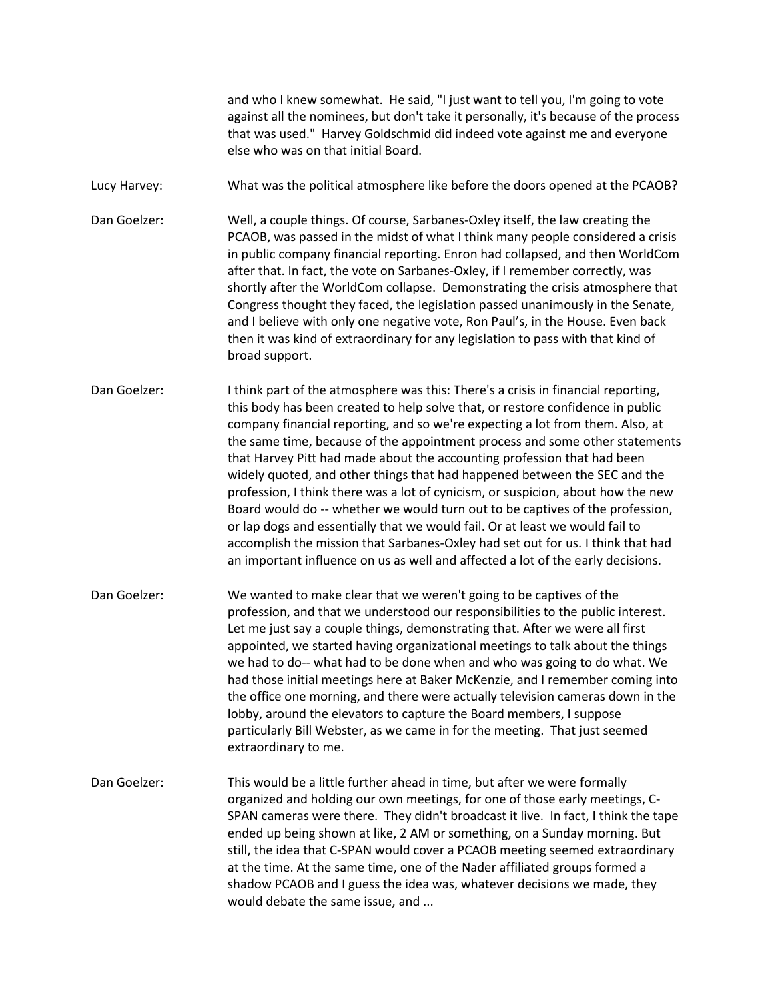and who I knew somewhat. He said, "I just want to tell you, I'm going to vote against all the nominees, but don't take it personally, it's because of the process that was used." Harvey Goldschmid did indeed vote against me and everyone else who was on that initial Board.

Lucy Harvey: What was the political atmosphere like before the doors opened at the PCAOB?

Dan Goelzer: Well, a couple things. Of course, Sarbanes-Oxley itself, the law creating the PCAOB, was passed in the midst of what I think many people considered a crisis in public company financial reporting. Enron had collapsed, and then WorldCom after that. In fact, the vote on Sarbanes-Oxley, if I remember correctly, was shortly after the WorldCom collapse. Demonstrating the crisis atmosphere that Congress thought they faced, the legislation passed unanimously in the Senate, and I believe with only one negative vote, Ron Paul's, in the House. Even back then it was kind of extraordinary for any legislation to pass with that kind of broad support.

Dan Goelzer: I think part of the atmosphere was this: There's a crisis in financial reporting, this body has been created to help solve that, or restore confidence in public company financial reporting, and so we're expecting a lot from them. Also, at the same time, because of the appointment process and some other statements that Harvey Pitt had made about the accounting profession that had been widely quoted, and other things that had happened between the SEC and the profession, I think there was a lot of cynicism, or suspicion, about how the new Board would do -- whether we would turn out to be captives of the profession, or lap dogs and essentially that we would fail. Or at least we would fail to accomplish the mission that Sarbanes-Oxley had set out for us. I think that had an important influence on us as well and affected a lot of the early decisions.

Dan Goelzer: We wanted to make clear that we weren't going to be captives of the profession, and that we understood our responsibilities to the public interest. Let me just say a couple things, demonstrating that. After we were all first appointed, we started having organizational meetings to talk about the things we had to do-- what had to be done when and who was going to do what. We had those initial meetings here at Baker McKenzie, and I remember coming into the office one morning, and there were actually television cameras down in the lobby, around the elevators to capture the Board members, I suppose particularly Bill Webster, as we came in for the meeting. That just seemed extraordinary to me.

Dan Goelzer: This would be a little further ahead in time, but after we were formally organized and holding our own meetings, for one of those early meetings, C-SPAN cameras were there. They didn't broadcast it live. In fact, I think the tape ended up being shown at like, 2 AM or something, on a Sunday morning. But still, the idea that C-SPAN would cover a PCAOB meeting seemed extraordinary at the time. At the same time, one of the Nader affiliated groups formed a shadow PCAOB and I guess the idea was, whatever decisions we made, they would debate the same issue, and ...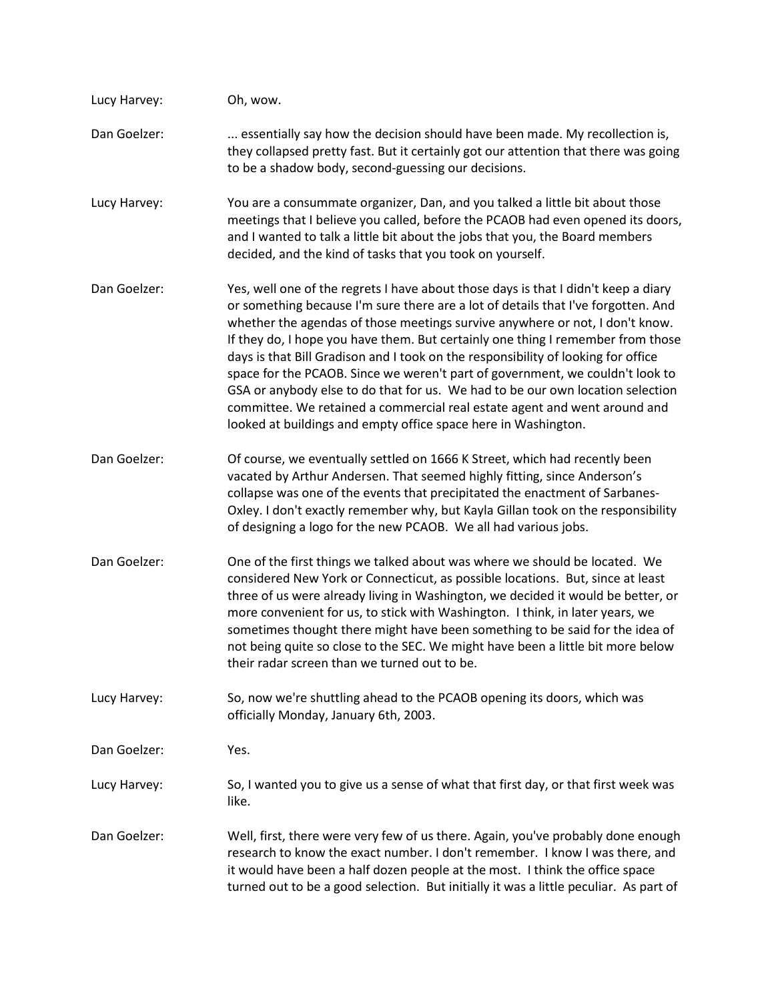| Lucy Harvey: | Oh, wow.                                                                                                                                                                                                                                                                                                                                                                                                                                                                                                                                                                                                                                                                                                                                          |
|--------------|---------------------------------------------------------------------------------------------------------------------------------------------------------------------------------------------------------------------------------------------------------------------------------------------------------------------------------------------------------------------------------------------------------------------------------------------------------------------------------------------------------------------------------------------------------------------------------------------------------------------------------------------------------------------------------------------------------------------------------------------------|
| Dan Goelzer: | essentially say how the decision should have been made. My recollection is,<br>they collapsed pretty fast. But it certainly got our attention that there was going<br>to be a shadow body, second-guessing our decisions.                                                                                                                                                                                                                                                                                                                                                                                                                                                                                                                         |
| Lucy Harvey: | You are a consummate organizer, Dan, and you talked a little bit about those<br>meetings that I believe you called, before the PCAOB had even opened its doors,<br>and I wanted to talk a little bit about the jobs that you, the Board members<br>decided, and the kind of tasks that you took on yourself.                                                                                                                                                                                                                                                                                                                                                                                                                                      |
| Dan Goelzer: | Yes, well one of the regrets I have about those days is that I didn't keep a diary<br>or something because I'm sure there are a lot of details that I've forgotten. And<br>whether the agendas of those meetings survive anywhere or not, I don't know.<br>If they do, I hope you have them. But certainly one thing I remember from those<br>days is that Bill Gradison and I took on the responsibility of looking for office<br>space for the PCAOB. Since we weren't part of government, we couldn't look to<br>GSA or anybody else to do that for us. We had to be our own location selection<br>committee. We retained a commercial real estate agent and went around and<br>looked at buildings and empty office space here in Washington. |
| Dan Goelzer: | Of course, we eventually settled on 1666 K Street, which had recently been<br>vacated by Arthur Andersen. That seemed highly fitting, since Anderson's<br>collapse was one of the events that precipitated the enactment of Sarbanes-<br>Oxley. I don't exactly remember why, but Kayla Gillan took on the responsibility<br>of designing a logo for the new PCAOB. We all had various jobs.                                                                                                                                                                                                                                                                                                                                                      |
| Dan Goelzer: | One of the first things we talked about was where we should be located. We<br>considered New York or Connecticut, as possible locations. But, since at least<br>three of us were already living in Washington, we decided it would be better, or<br>more convenient for us, to stick with Washington. I think, in later years, we<br>sometimes thought there might have been something to be said for the idea of<br>not being quite so close to the SEC. We might have been a little bit more below<br>their radar screen than we turned out to be.                                                                                                                                                                                              |
| Lucy Harvey: | So, now we're shuttling ahead to the PCAOB opening its doors, which was<br>officially Monday, January 6th, 2003.                                                                                                                                                                                                                                                                                                                                                                                                                                                                                                                                                                                                                                  |
| Dan Goelzer: | Yes.                                                                                                                                                                                                                                                                                                                                                                                                                                                                                                                                                                                                                                                                                                                                              |
| Lucy Harvey: | So, I wanted you to give us a sense of what that first day, or that first week was<br>like.                                                                                                                                                                                                                                                                                                                                                                                                                                                                                                                                                                                                                                                       |
| Dan Goelzer: | Well, first, there were very few of us there. Again, you've probably done enough<br>research to know the exact number. I don't remember. I know I was there, and<br>it would have been a half dozen people at the most. I think the office space<br>turned out to be a good selection. But initially it was a little peculiar. As part of                                                                                                                                                                                                                                                                                                                                                                                                         |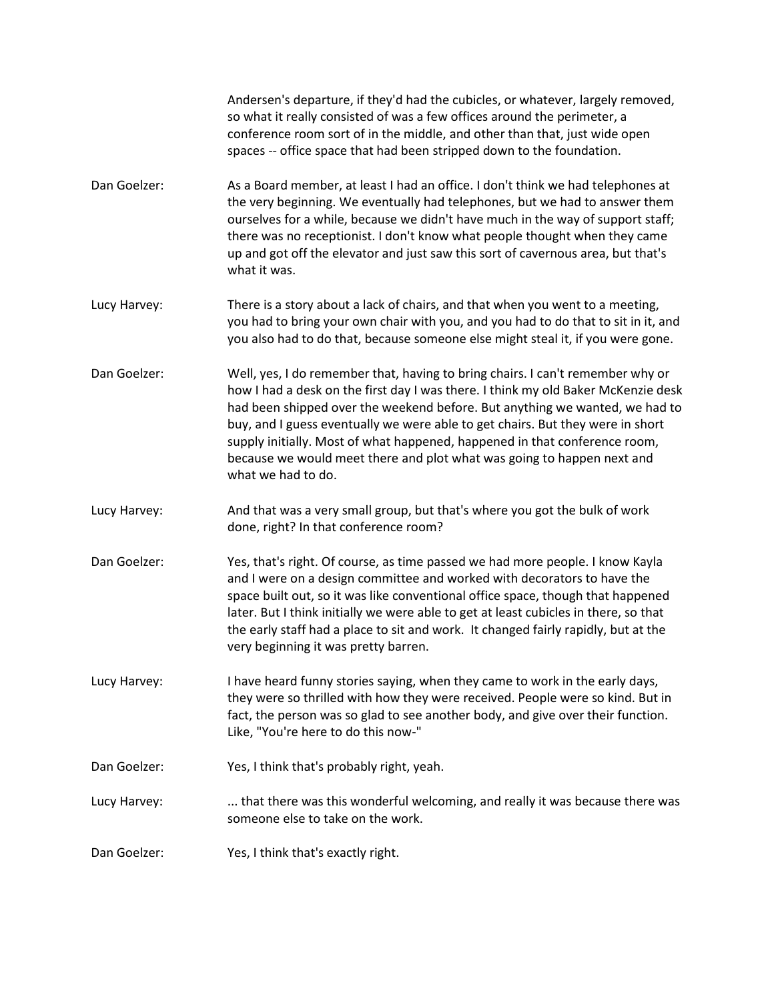Andersen's departure, if they'd had the cubicles, or whatever, largely removed, so what it really consisted of was a few offices around the perimeter, a conference room sort of in the middle, and other than that, just wide open spaces -- office space that had been stripped down to the foundation.

- Dan Goelzer: As a Board member, at least I had an office. I don't think we had telephones at the very beginning. We eventually had telephones, but we had to answer them ourselves for a while, because we didn't have much in the way of support staff; there was no receptionist. I don't know what people thought when they came up and got off the elevator and just saw this sort of cavernous area, but that's what it was.
- Lucy Harvey: There is a story about a lack of chairs, and that when you went to a meeting, you had to bring your own chair with you, and you had to do that to sit in it, and you also had to do that, because someone else might steal it, if you were gone.
- Dan Goelzer: Well, yes, I do remember that, having to bring chairs. I can't remember why or how I had a desk on the first day I was there. I think my old Baker McKenzie desk had been shipped over the weekend before. But anything we wanted, we had to buy, and I guess eventually we were able to get chairs. But they were in short supply initially. Most of what happened, happened in that conference room, because we would meet there and plot what was going to happen next and what we had to do.
- Lucy Harvey: And that was a very small group, but that's where you got the bulk of work done, right? In that conference room?
- Dan Goelzer: Yes, that's right. Of course, as time passed we had more people. I know Kayla and I were on a design committee and worked with decorators to have the space built out, so it was like conventional office space, though that happened later. But I think initially we were able to get at least cubicles in there, so that the early staff had a place to sit and work. It changed fairly rapidly, but at the very beginning it was pretty barren.

Lucy Harvey: I have heard funny stories saying, when they came to work in the early days, they were so thrilled with how they were received. People were so kind. But in fact, the person was so glad to see another body, and give over their function. Like, "You're here to do this now-"

- Dan Goelzer: Yes, I think that's probably right, yeah.
- Lucy Harvey: .... that there was this wonderful welcoming, and really it was because there was someone else to take on the work.
- Dan Goelzer: Yes, I think that's exactly right.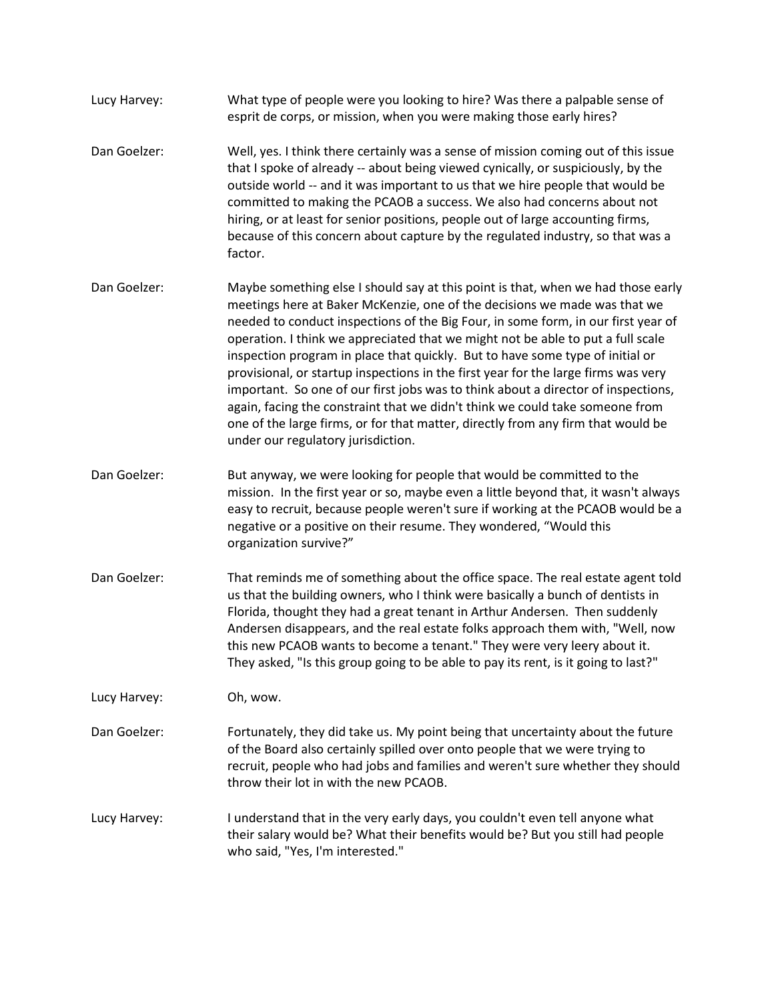- Lucy Harvey: What type of people were you looking to hire? Was there a palpable sense of esprit de corps, or mission, when you were making those early hires?
- Dan Goelzer: Well, yes. I think there certainly was a sense of mission coming out of this issue that I spoke of already -- about being viewed cynically, or suspiciously, by the outside world -- and it was important to us that we hire people that would be committed to making the PCAOB a success. We also had concerns about not hiring, or at least for senior positions, people out of large accounting firms, because of this concern about capture by the regulated industry, so that was a factor.
- Dan Goelzer: Maybe something else I should say at this point is that, when we had those early meetings here at Baker McKenzie, one of the decisions we made was that we needed to conduct inspections of the Big Four, in some form, in our first year of operation. I think we appreciated that we might not be able to put a full scale inspection program in place that quickly. But to have some type of initial or provisional, or startup inspections in the first year for the large firms was very important. So one of our first jobs was to think about a director of inspections, again, facing the constraint that we didn't think we could take someone from one of the large firms, or for that matter, directly from any firm that would be under our regulatory jurisdiction.
- Dan Goelzer: But anyway, we were looking for people that would be committed to the mission. In the first year or so, maybe even a little beyond that, it wasn't always easy to recruit, because people weren't sure if working at the PCAOB would be a negative or a positive on their resume. They wondered, "Would this organization survive?"
- Dan Goelzer: That reminds me of something about the office space. The real estate agent told us that the building owners, who I think were basically a bunch of dentists in Florida, thought they had a great tenant in Arthur Andersen. Then suddenly Andersen disappears, and the real estate folks approach them with, "Well, now this new PCAOB wants to become a tenant." They were very leery about it. They asked, "Is this group going to be able to pay its rent, is it going to last?"

Lucy Harvey: Oh, wow.

- Dan Goelzer: Fortunately, they did take us. My point being that uncertainty about the future of the Board also certainly spilled over onto people that we were trying to recruit, people who had jobs and families and weren't sure whether they should throw their lot in with the new PCAOB.
- Lucy Harvey: I understand that in the very early days, you couldn't even tell anyone what their salary would be? What their benefits would be? But you still had people who said, "Yes, I'm interested."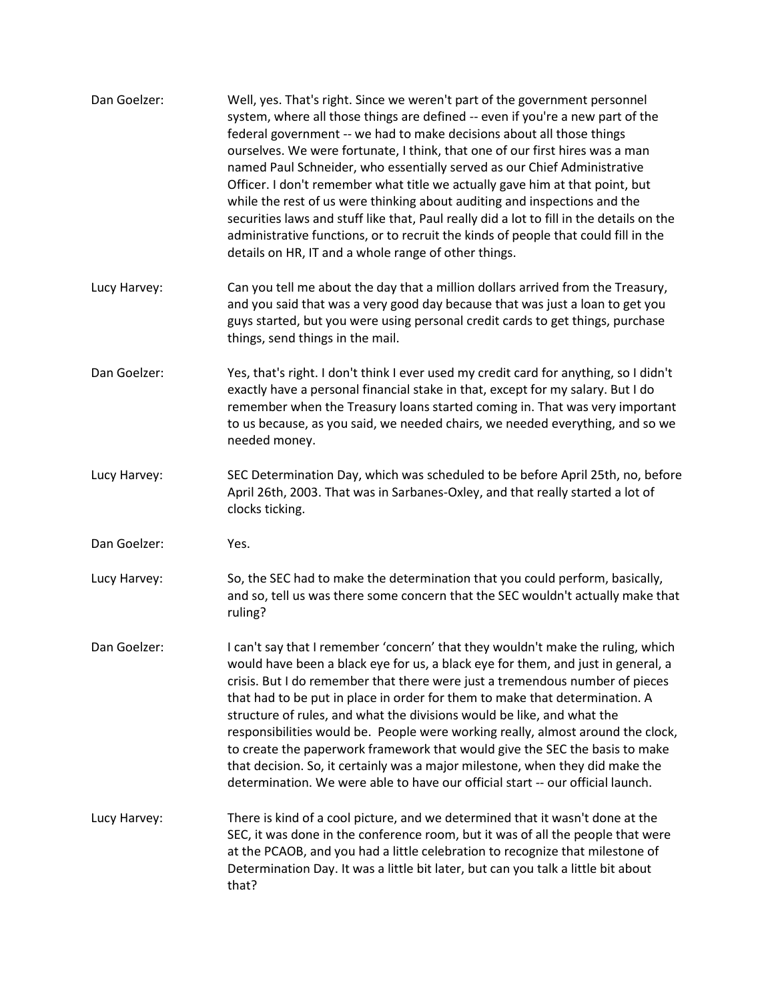| Dan Goelzer: | Well, yes. That's right. Since we weren't part of the government personnel<br>system, where all those things are defined -- even if you're a new part of the<br>federal government -- we had to make decisions about all those things<br>ourselves. We were fortunate, I think, that one of our first hires was a man<br>named Paul Schneider, who essentially served as our Chief Administrative<br>Officer. I don't remember what title we actually gave him at that point, but<br>while the rest of us were thinking about auditing and inspections and the<br>securities laws and stuff like that, Paul really did a lot to fill in the details on the<br>administrative functions, or to recruit the kinds of people that could fill in the<br>details on HR, IT and a whole range of other things. |
|--------------|----------------------------------------------------------------------------------------------------------------------------------------------------------------------------------------------------------------------------------------------------------------------------------------------------------------------------------------------------------------------------------------------------------------------------------------------------------------------------------------------------------------------------------------------------------------------------------------------------------------------------------------------------------------------------------------------------------------------------------------------------------------------------------------------------------|
| Lucy Harvey: | Can you tell me about the day that a million dollars arrived from the Treasury,<br>and you said that was a very good day because that was just a loan to get you<br>guys started, but you were using personal credit cards to get things, purchase<br>things, send things in the mail.                                                                                                                                                                                                                                                                                                                                                                                                                                                                                                                   |
| Dan Goelzer: | Yes, that's right. I don't think I ever used my credit card for anything, so I didn't<br>exactly have a personal financial stake in that, except for my salary. But I do<br>remember when the Treasury loans started coming in. That was very important<br>to us because, as you said, we needed chairs, we needed everything, and so we<br>needed money.                                                                                                                                                                                                                                                                                                                                                                                                                                                |
| Lucy Harvey: | SEC Determination Day, which was scheduled to be before April 25th, no, before<br>April 26th, 2003. That was in Sarbanes-Oxley, and that really started a lot of<br>clocks ticking.                                                                                                                                                                                                                                                                                                                                                                                                                                                                                                                                                                                                                      |
| Dan Goelzer: | Yes.                                                                                                                                                                                                                                                                                                                                                                                                                                                                                                                                                                                                                                                                                                                                                                                                     |
| Lucy Harvey: | So, the SEC had to make the determination that you could perform, basically,<br>and so, tell us was there some concern that the SEC wouldn't actually make that<br>ruling?                                                                                                                                                                                                                                                                                                                                                                                                                                                                                                                                                                                                                               |
| Dan Goelzer: | I can't say that I remember 'concern' that they wouldn't make the ruling, which<br>would have been a black eye for us, a black eye for them, and just in general, a<br>crisis. But I do remember that there were just a tremendous number of pieces<br>that had to be put in place in order for them to make that determination. A<br>structure of rules, and what the divisions would be like, and what the<br>responsibilities would be. People were working really, almost around the clock,<br>to create the paperwork framework that would give the SEC the basis to make<br>that decision. So, it certainly was a major milestone, when they did make the<br>determination. We were able to have our official start -- our official launch.                                                        |
| Lucy Harvey: | There is kind of a cool picture, and we determined that it wasn't done at the<br>SEC, it was done in the conference room, but it was of all the people that were<br>at the PCAOB, and you had a little celebration to recognize that milestone of<br>Determination Day. It was a little bit later, but can you talk a little bit about<br>that?                                                                                                                                                                                                                                                                                                                                                                                                                                                          |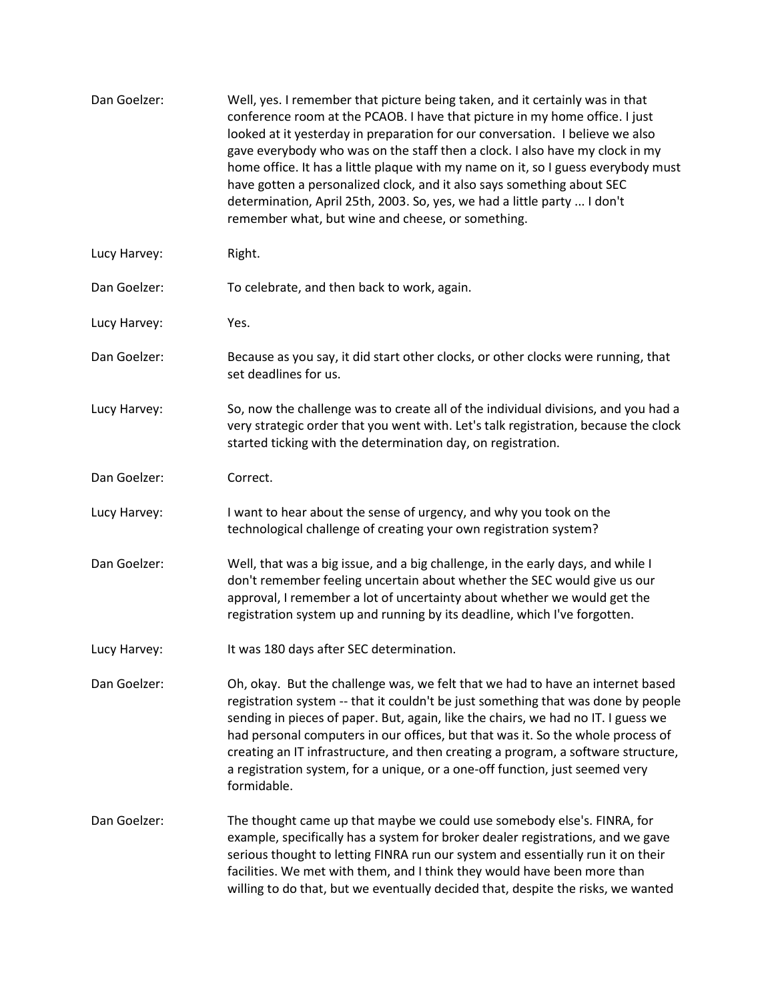| Dan Goelzer: | Well, yes. I remember that picture being taken, and it certainly was in that<br>conference room at the PCAOB. I have that picture in my home office. I just<br>looked at it yesterday in preparation for our conversation. I believe we also<br>gave everybody who was on the staff then a clock. I also have my clock in my<br>home office. It has a little plaque with my name on it, so I guess everybody must<br>have gotten a personalized clock, and it also says something about SEC<br>determination, April 25th, 2003. So, yes, we had a little party  I don't<br>remember what, but wine and cheese, or something. |
|--------------|------------------------------------------------------------------------------------------------------------------------------------------------------------------------------------------------------------------------------------------------------------------------------------------------------------------------------------------------------------------------------------------------------------------------------------------------------------------------------------------------------------------------------------------------------------------------------------------------------------------------------|
| Lucy Harvey: | Right.                                                                                                                                                                                                                                                                                                                                                                                                                                                                                                                                                                                                                       |
| Dan Goelzer: | To celebrate, and then back to work, again.                                                                                                                                                                                                                                                                                                                                                                                                                                                                                                                                                                                  |
| Lucy Harvey: | Yes.                                                                                                                                                                                                                                                                                                                                                                                                                                                                                                                                                                                                                         |
| Dan Goelzer: | Because as you say, it did start other clocks, or other clocks were running, that<br>set deadlines for us.                                                                                                                                                                                                                                                                                                                                                                                                                                                                                                                   |
| Lucy Harvey: | So, now the challenge was to create all of the individual divisions, and you had a<br>very strategic order that you went with. Let's talk registration, because the clock<br>started ticking with the determination day, on registration.                                                                                                                                                                                                                                                                                                                                                                                    |
| Dan Goelzer: | Correct.                                                                                                                                                                                                                                                                                                                                                                                                                                                                                                                                                                                                                     |
| Lucy Harvey: | I want to hear about the sense of urgency, and why you took on the<br>technological challenge of creating your own registration system?                                                                                                                                                                                                                                                                                                                                                                                                                                                                                      |
| Dan Goelzer: | Well, that was a big issue, and a big challenge, in the early days, and while I<br>don't remember feeling uncertain about whether the SEC would give us our<br>approval, I remember a lot of uncertainty about whether we would get the<br>registration system up and running by its deadline, which I've forgotten.                                                                                                                                                                                                                                                                                                         |
| Lucy Harvey: | It was 180 days after SEC determination.                                                                                                                                                                                                                                                                                                                                                                                                                                                                                                                                                                                     |
| Dan Goelzer: | Oh, okay. But the challenge was, we felt that we had to have an internet based<br>registration system -- that it couldn't be just something that was done by people<br>sending in pieces of paper. But, again, like the chairs, we had no IT. I guess we<br>had personal computers in our offices, but that was it. So the whole process of<br>creating an IT infrastructure, and then creating a program, a software structure,<br>a registration system, for a unique, or a one-off function, just seemed very<br>formidable.                                                                                              |
| Dan Goelzer: | The thought came up that maybe we could use somebody else's. FINRA, for<br>example, specifically has a system for broker dealer registrations, and we gave<br>serious thought to letting FINRA run our system and essentially run it on their<br>facilities. We met with them, and I think they would have been more than<br>willing to do that, but we eventually decided that, despite the risks, we wanted                                                                                                                                                                                                                |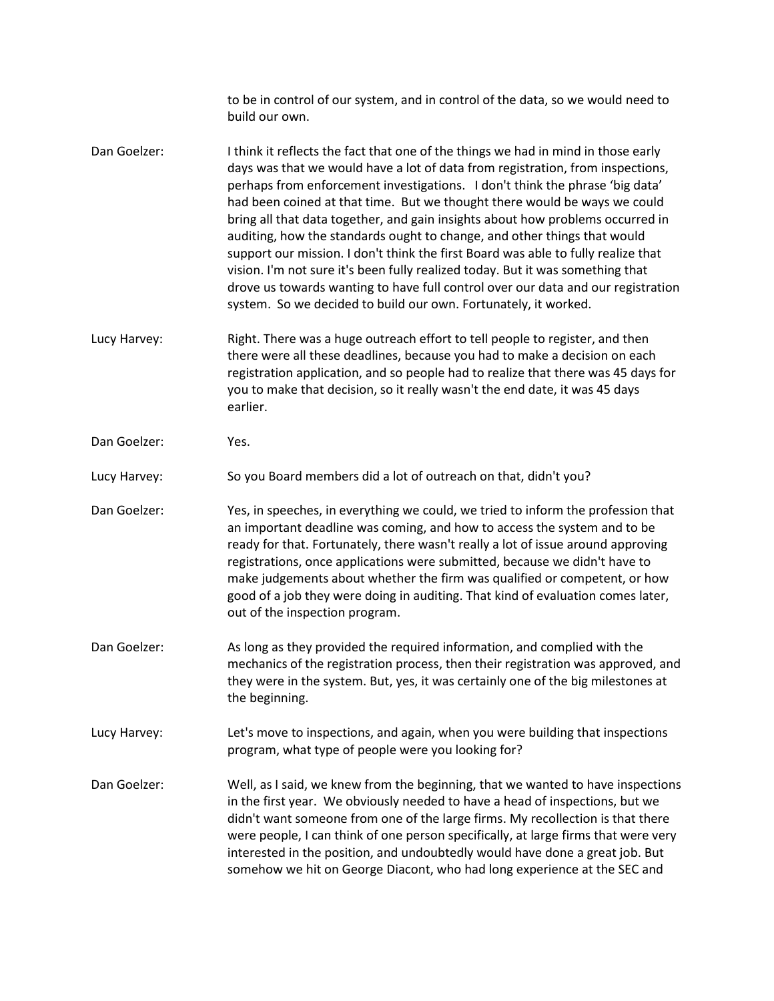to be in control of our system, and in control of the data, so we would need to build our own.

- Dan Goelzer: I think it reflects the fact that one of the things we had in mind in those early days was that we would have a lot of data from registration, from inspections, perhaps from enforcement investigations. I don't think the phrase 'big data' had been coined at that time. But we thought there would be ways we could bring all that data together, and gain insights about how problems occurred in auditing, how the standards ought to change, and other things that would support our mission. I don't think the first Board was able to fully realize that vision. I'm not sure it's been fully realized today. But it was something that drove us towards wanting to have full control over our data and our registration system. So we decided to build our own. Fortunately, it worked.
- Lucy Harvey: Right. There was a huge outreach effort to tell people to register, and then there were all these deadlines, because you had to make a decision on each registration application, and so people had to realize that there was 45 days for you to make that decision, so it really wasn't the end date, it was 45 days earlier.
- Dan Goelzer: Yes.

Lucy Harvey: So you Board members did a lot of outreach on that, didn't you?

Dan Goelzer: Yes, in speeches, in everything we could, we tried to inform the profession that an important deadline was coming, and how to access the system and to be ready for that. Fortunately, there wasn't really a lot of issue around approving registrations, once applications were submitted, because we didn't have to make judgements about whether the firm was qualified or competent, or how good of a job they were doing in auditing. That kind of evaluation comes later, out of the inspection program.

- Dan Goelzer: As long as they provided the required information, and complied with the mechanics of the registration process, then their registration was approved, and they were in the system. But, yes, it was certainly one of the big milestones at the beginning.
- Lucy Harvey: Let's move to inspections, and again, when you were building that inspections program, what type of people were you looking for?
- Dan Goelzer: Well, as I said, we knew from the beginning, that we wanted to have inspections in the first year. We obviously needed to have a head of inspections, but we didn't want someone from one of the large firms. My recollection is that there were people, I can think of one person specifically, at large firms that were very interested in the position, and undoubtedly would have done a great job. But somehow we hit on George Diacont, who had long experience at the SEC and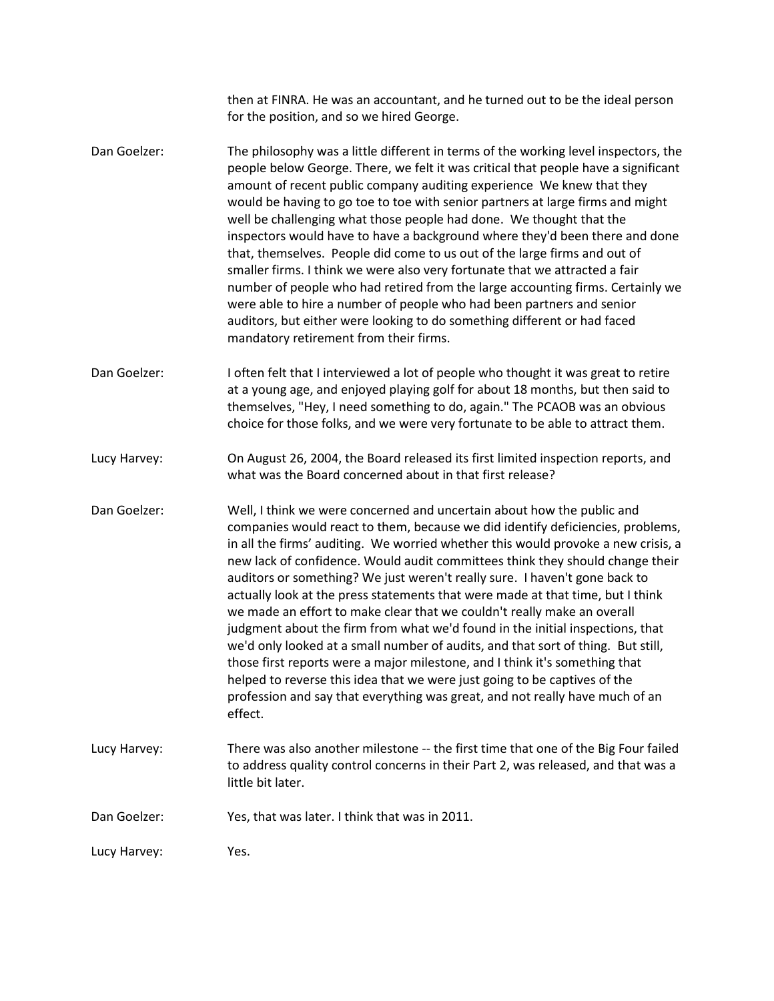| Dan Goelzer: | Yes, that was later. I think that was in 2011.                                                                                                                                                                                                                                                                                                                                                                                                                                                                                                                                                                                                                                                                                                                                                                                                                                                                                                                                                        |
|--------------|-------------------------------------------------------------------------------------------------------------------------------------------------------------------------------------------------------------------------------------------------------------------------------------------------------------------------------------------------------------------------------------------------------------------------------------------------------------------------------------------------------------------------------------------------------------------------------------------------------------------------------------------------------------------------------------------------------------------------------------------------------------------------------------------------------------------------------------------------------------------------------------------------------------------------------------------------------------------------------------------------------|
|              |                                                                                                                                                                                                                                                                                                                                                                                                                                                                                                                                                                                                                                                                                                                                                                                                                                                                                                                                                                                                       |
| Lucy Harvey: | There was also another milestone -- the first time that one of the Big Four failed<br>to address quality control concerns in their Part 2, was released, and that was a<br>little bit later.                                                                                                                                                                                                                                                                                                                                                                                                                                                                                                                                                                                                                                                                                                                                                                                                          |
| Dan Goelzer: | Well, I think we were concerned and uncertain about how the public and<br>companies would react to them, because we did identify deficiencies, problems,<br>in all the firms' auditing. We worried whether this would provoke a new crisis, a<br>new lack of confidence. Would audit committees think they should change their<br>auditors or something? We just weren't really sure. I haven't gone back to<br>actually look at the press statements that were made at that time, but I think<br>we made an effort to make clear that we couldn't really make an overall<br>judgment about the firm from what we'd found in the initial inspections, that<br>we'd only looked at a small number of audits, and that sort of thing. But still,<br>those first reports were a major milestone, and I think it's something that<br>helped to reverse this idea that we were just going to be captives of the<br>profession and say that everything was great, and not really have much of an<br>effect. |
| Lucy Harvey: | On August 26, 2004, the Board released its first limited inspection reports, and<br>what was the Board concerned about in that first release?                                                                                                                                                                                                                                                                                                                                                                                                                                                                                                                                                                                                                                                                                                                                                                                                                                                         |
| Dan Goelzer: | I often felt that I interviewed a lot of people who thought it was great to retire<br>at a young age, and enjoyed playing golf for about 18 months, but then said to<br>themselves, "Hey, I need something to do, again." The PCAOB was an obvious<br>choice for those folks, and we were very fortunate to be able to attract them.                                                                                                                                                                                                                                                                                                                                                                                                                                                                                                                                                                                                                                                                  |
| Dan Goelzer: | The philosophy was a little different in terms of the working level inspectors, the<br>people below George. There, we felt it was critical that people have a significant<br>amount of recent public company auditing experience We knew that they<br>would be having to go toe to toe with senior partners at large firms and might<br>well be challenging what those people had done. We thought that the<br>inspectors would have to have a background where they'd been there and done<br>that, themselves. People did come to us out of the large firms and out of<br>smaller firms. I think we were also very fortunate that we attracted a fair<br>number of people who had retired from the large accounting firms. Certainly we<br>were able to hire a number of people who had been partners and senior<br>auditors, but either were looking to do something different or had faced<br>mandatory retirement from their firms.                                                               |
|              | then at FINRA. He was an accountant, and he turned out to be the ideal person<br>for the position, and so we hired George.                                                                                                                                                                                                                                                                                                                                                                                                                                                                                                                                                                                                                                                                                                                                                                                                                                                                            |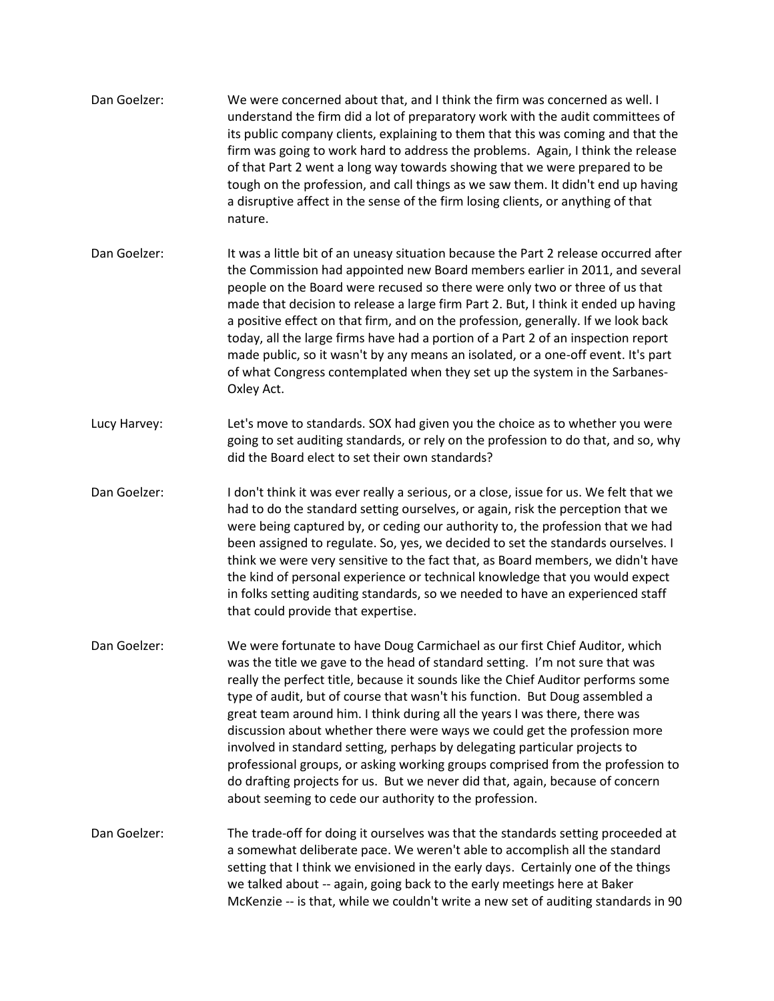| Dan Goelzer: | We were concerned about that, and I think the firm was concerned as well. I<br>understand the firm did a lot of preparatory work with the audit committees of<br>its public company clients, explaining to them that this was coming and that the<br>firm was going to work hard to address the problems. Again, I think the release<br>of that Part 2 went a long way towards showing that we were prepared to be<br>tough on the profession, and call things as we saw them. It didn't end up having<br>a disruptive affect in the sense of the firm losing clients, or anything of that<br>nature.                                                                                                                                                                                                |
|--------------|------------------------------------------------------------------------------------------------------------------------------------------------------------------------------------------------------------------------------------------------------------------------------------------------------------------------------------------------------------------------------------------------------------------------------------------------------------------------------------------------------------------------------------------------------------------------------------------------------------------------------------------------------------------------------------------------------------------------------------------------------------------------------------------------------|
| Dan Goelzer: | It was a little bit of an uneasy situation because the Part 2 release occurred after<br>the Commission had appointed new Board members earlier in 2011, and several<br>people on the Board were recused so there were only two or three of us that<br>made that decision to release a large firm Part 2. But, I think it ended up having<br>a positive effect on that firm, and on the profession, generally. If we look back<br>today, all the large firms have had a portion of a Part 2 of an inspection report<br>made public, so it wasn't by any means an isolated, or a one-off event. It's part<br>of what Congress contemplated when they set up the system in the Sarbanes-<br>Oxley Act.                                                                                                  |
| Lucy Harvey: | Let's move to standards. SOX had given you the choice as to whether you were<br>going to set auditing standards, or rely on the profession to do that, and so, why<br>did the Board elect to set their own standards?                                                                                                                                                                                                                                                                                                                                                                                                                                                                                                                                                                                |
| Dan Goelzer: | I don't think it was ever really a serious, or a close, issue for us. We felt that we<br>had to do the standard setting ourselves, or again, risk the perception that we<br>were being captured by, or ceding our authority to, the profession that we had<br>been assigned to regulate. So, yes, we decided to set the standards ourselves. I<br>think we were very sensitive to the fact that, as Board members, we didn't have<br>the kind of personal experience or technical knowledge that you would expect<br>in folks setting auditing standards, so we needed to have an experienced staff<br>that could provide that expertise.                                                                                                                                                            |
| Dan Goelzer: | We were fortunate to have Doug Carmichael as our first Chief Auditor, which<br>was the title we gave to the head of standard setting. I'm not sure that was<br>really the perfect title, because it sounds like the Chief Auditor performs some<br>type of audit, but of course that wasn't his function. But Doug assembled a<br>great team around him. I think during all the years I was there, there was<br>discussion about whether there were ways we could get the profession more<br>involved in standard setting, perhaps by delegating particular projects to<br>professional groups, or asking working groups comprised from the profession to<br>do drafting projects for us. But we never did that, again, because of concern<br>about seeming to cede our authority to the profession. |
| Dan Goelzer: | The trade-off for doing it ourselves was that the standards setting proceeded at<br>a somewhat deliberate pace. We weren't able to accomplish all the standard<br>setting that I think we envisioned in the early days. Certainly one of the things<br>we talked about -- again, going back to the early meetings here at Baker<br>McKenzie -- is that, while we couldn't write a new set of auditing standards in 90                                                                                                                                                                                                                                                                                                                                                                                |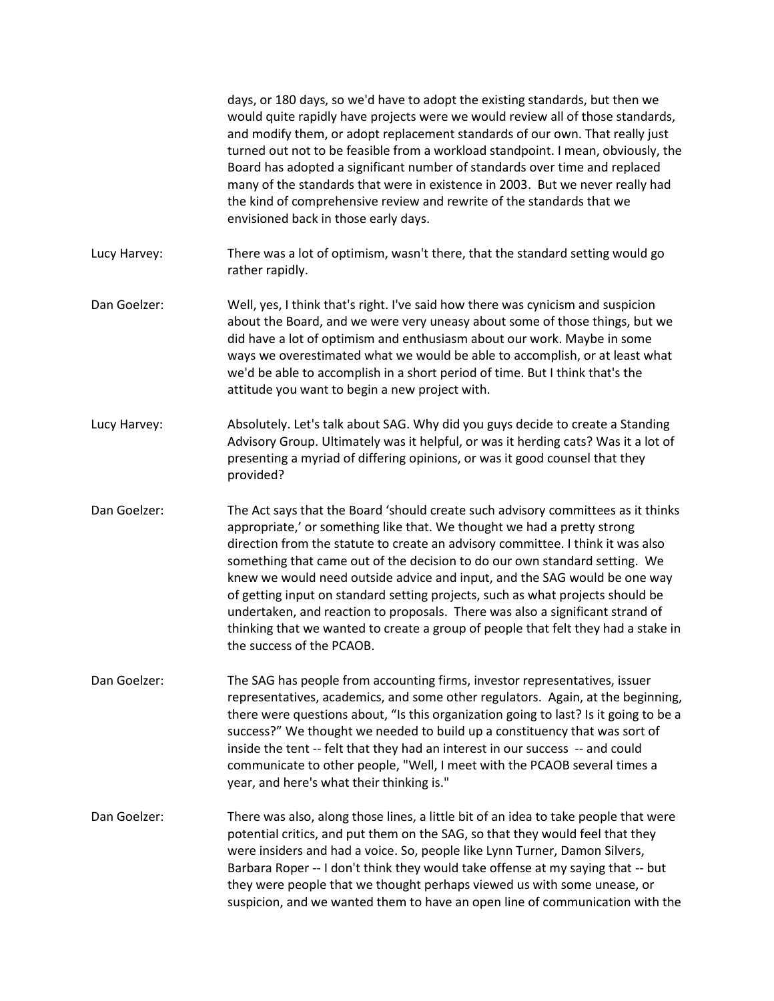|              | days, or 180 days, so we'd have to adopt the existing standards, but then we<br>would quite rapidly have projects were we would review all of those standards,<br>and modify them, or adopt replacement standards of our own. That really just<br>turned out not to be feasible from a workload standpoint. I mean, obviously, the<br>Board has adopted a significant number of standards over time and replaced<br>many of the standards that were in existence in 2003. But we never really had<br>the kind of comprehensive review and rewrite of the standards that we<br>envisioned back in those early days.                                                                             |
|--------------|------------------------------------------------------------------------------------------------------------------------------------------------------------------------------------------------------------------------------------------------------------------------------------------------------------------------------------------------------------------------------------------------------------------------------------------------------------------------------------------------------------------------------------------------------------------------------------------------------------------------------------------------------------------------------------------------|
| Lucy Harvey: | There was a lot of optimism, wasn't there, that the standard setting would go<br>rather rapidly.                                                                                                                                                                                                                                                                                                                                                                                                                                                                                                                                                                                               |
| Dan Goelzer: | Well, yes, I think that's right. I've said how there was cynicism and suspicion<br>about the Board, and we were very uneasy about some of those things, but we<br>did have a lot of optimism and enthusiasm about our work. Maybe in some<br>ways we overestimated what we would be able to accomplish, or at least what<br>we'd be able to accomplish in a short period of time. But I think that's the<br>attitude you want to begin a new project with.                                                                                                                                                                                                                                     |
| Lucy Harvey: | Absolutely. Let's talk about SAG. Why did you guys decide to create a Standing<br>Advisory Group. Ultimately was it helpful, or was it herding cats? Was it a lot of<br>presenting a myriad of differing opinions, or was it good counsel that they<br>provided?                                                                                                                                                                                                                                                                                                                                                                                                                               |
| Dan Goelzer: | The Act says that the Board 'should create such advisory committees as it thinks<br>appropriate,' or something like that. We thought we had a pretty strong<br>direction from the statute to create an advisory committee. I think it was also<br>something that came out of the decision to do our own standard setting. We<br>knew we would need outside advice and input, and the SAG would be one way<br>of getting input on standard setting projects, such as what projects should be<br>undertaken, and reaction to proposals. There was also a significant strand of<br>thinking that we wanted to create a group of people that felt they had a stake in<br>the success of the PCAOB. |
| Dan Goelzer: | The SAG has people from accounting firms, investor representatives, issuer<br>representatives, academics, and some other regulators. Again, at the beginning,<br>there were questions about, "Is this organization going to last? Is it going to be a<br>success?" We thought we needed to build up a constituency that was sort of<br>inside the tent -- felt that they had an interest in our success -- and could<br>communicate to other people, "Well, I meet with the PCAOB several times a<br>year, and here's what their thinking is."                                                                                                                                                 |
| Dan Goelzer: | There was also, along those lines, a little bit of an idea to take people that were<br>potential critics, and put them on the SAG, so that they would feel that they<br>were insiders and had a voice. So, people like Lynn Turner, Damon Silvers,<br>Barbara Roper -- I don't think they would take offense at my saying that -- but<br>they were people that we thought perhaps viewed us with some unease, or<br>suspicion, and we wanted them to have an open line of communication with the                                                                                                                                                                                               |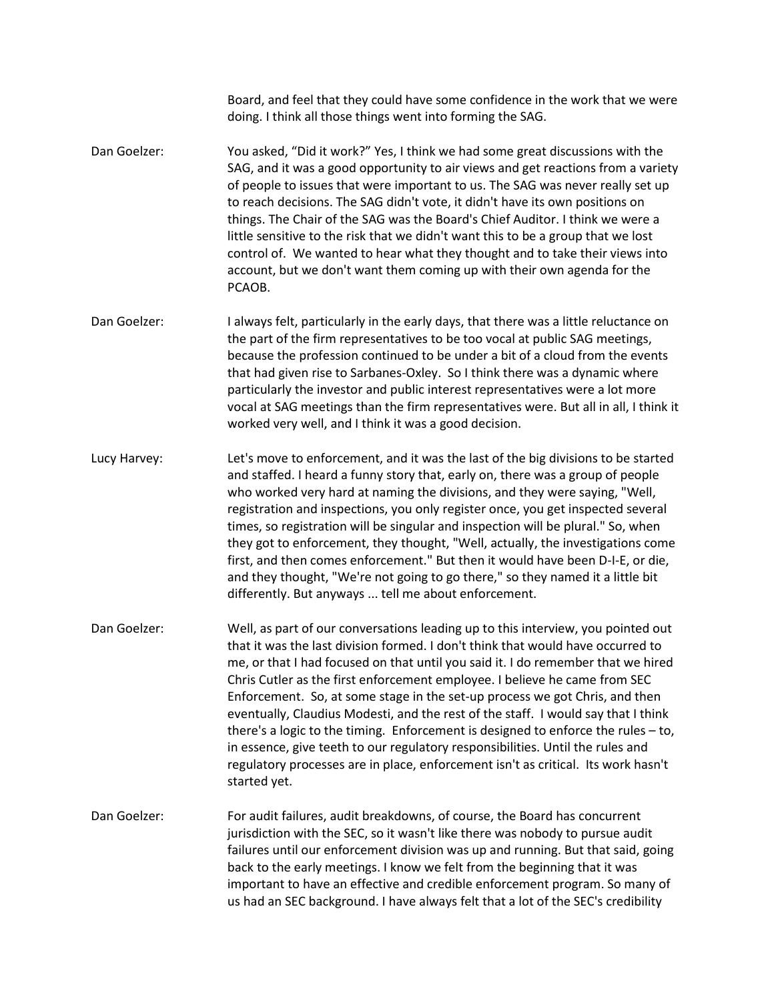Board, and feel that they could have some confidence in the work that we were doing. I think all those things went into forming the SAG.

- Dan Goelzer: You asked, "Did it work?" Yes, I think we had some great discussions with the SAG, and it was a good opportunity to air views and get reactions from a variety of people to issues that were important to us. The SAG was never really set up to reach decisions. The SAG didn't vote, it didn't have its own positions on things. The Chair of the SAG was the Board's Chief Auditor. I think we were a little sensitive to the risk that we didn't want this to be a group that we lost control of. We wanted to hear what they thought and to take their views into account, but we don't want them coming up with their own agenda for the PCAOB.
- Dan Goelzer: I always felt, particularly in the early days, that there was a little reluctance on the part of the firm representatives to be too vocal at public SAG meetings, because the profession continued to be under a bit of a cloud from the events that had given rise to Sarbanes-Oxley. So I think there was a dynamic where particularly the investor and public interest representatives were a lot more vocal at SAG meetings than the firm representatives were. But all in all, I think it worked very well, and I think it was a good decision.
- Lucy Harvey: Let's move to enforcement, and it was the last of the big divisions to be started and staffed. I heard a funny story that, early on, there was a group of people who worked very hard at naming the divisions, and they were saying, "Well, registration and inspections, you only register once, you get inspected several times, so registration will be singular and inspection will be plural." So, when they got to enforcement, they thought, "Well, actually, the investigations come first, and then comes enforcement." But then it would have been D-I-E, or die, and they thought, "We're not going to go there," so they named it a little bit differently. But anyways ... tell me about enforcement.
- Dan Goelzer: Well, as part of our conversations leading up to this interview, you pointed out that it was the last division formed. I don't think that would have occurred to me, or that I had focused on that until you said it. I do remember that we hired Chris Cutler as the first enforcement employee. I believe he came from SEC Enforcement. So, at some stage in the set-up process we got Chris, and then eventually, Claudius Modesti, and the rest of the staff. I would say that I think there's a logic to the timing. Enforcement is designed to enforce the rules – to, in essence, give teeth to our regulatory responsibilities. Until the rules and regulatory processes are in place, enforcement isn't as critical. Its work hasn't started yet.
- Dan Goelzer: For audit failures, audit breakdowns, of course, the Board has concurrent jurisdiction with the SEC, so it wasn't like there was nobody to pursue audit failures until our enforcement division was up and running. But that said, going back to the early meetings. I know we felt from the beginning that it was important to have an effective and credible enforcement program. So many of us had an SEC background. I have always felt that a lot of the SEC's credibility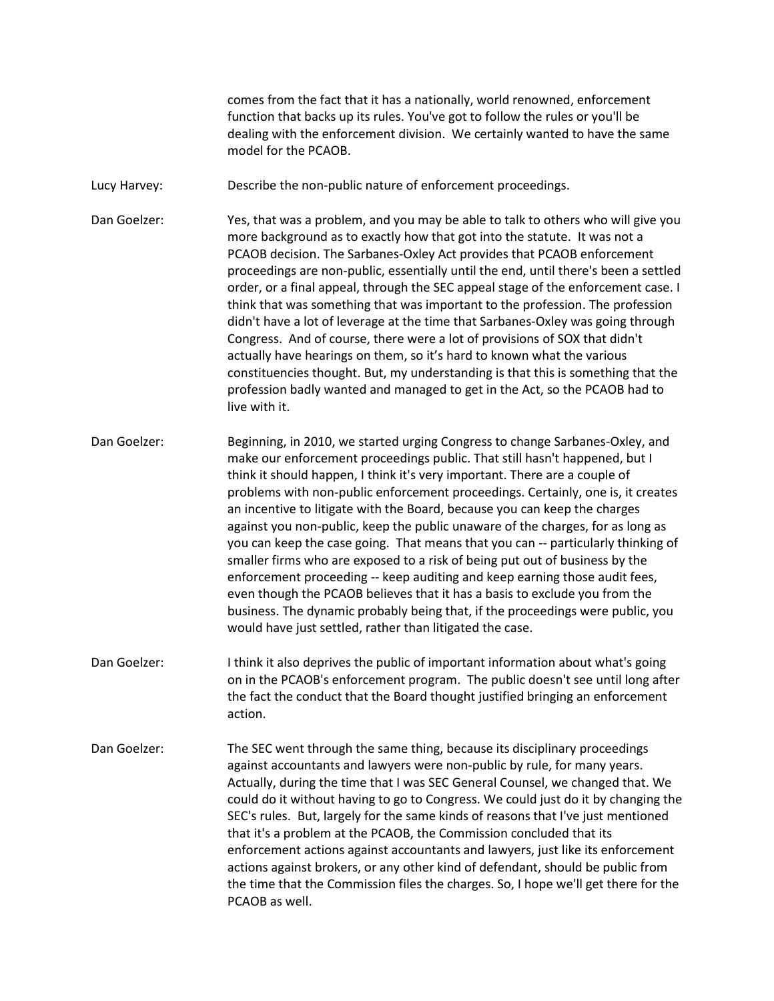comes from the fact that it has a nationally, world renowned, enforcement function that backs up its rules. You've got to follow the rules or you'll be dealing with the enforcement division. We certainly wanted to have the same model for the PCAOB.

Lucy Harvey: Describe the non-public nature of enforcement proceedings.

Dan Goelzer: Yes, that was a problem, and you may be able to talk to others who will give you more background as to exactly how that got into the statute. It was not a PCAOB decision. The Sarbanes-Oxley Act provides that PCAOB enforcement proceedings are non-public, essentially until the end, until there's been a settled order, or a final appeal, through the SEC appeal stage of the enforcement case. I think that was something that was important to the profession. The profession didn't have a lot of leverage at the time that Sarbanes-Oxley was going through Congress. And of course, there were a lot of provisions of SOX that didn't actually have hearings on them, so it's hard to known what the various constituencies thought. But, my understanding is that this is something that the profession badly wanted and managed to get in the Act, so the PCAOB had to live with it.

Dan Goelzer: Beginning, in 2010, we started urging Congress to change Sarbanes-Oxley, and make our enforcement proceedings public. That still hasn't happened, but I think it should happen, I think it's very important. There are a couple of problems with non-public enforcement proceedings. Certainly, one is, it creates an incentive to litigate with the Board, because you can keep the charges against you non-public, keep the public unaware of the charges, for as long as you can keep the case going. That means that you can -- particularly thinking of smaller firms who are exposed to a risk of being put out of business by the enforcement proceeding -- keep auditing and keep earning those audit fees, even though the PCAOB believes that it has a basis to exclude you from the business. The dynamic probably being that, if the proceedings were public, you would have just settled, rather than litigated the case.

- Dan Goelzer: I think it also deprives the public of important information about what's going on in the PCAOB's enforcement program. The public doesn't see until long after the fact the conduct that the Board thought justified bringing an enforcement action.
- Dan Goelzer: The SEC went through the same thing, because its disciplinary proceedings against accountants and lawyers were non-public by rule, for many years. Actually, during the time that I was SEC General Counsel, we changed that. We could do it without having to go to Congress. We could just do it by changing the SEC's rules. But, largely for the same kinds of reasons that I've just mentioned that it's a problem at the PCAOB, the Commission concluded that its enforcement actions against accountants and lawyers, just like its enforcement actions against brokers, or any other kind of defendant, should be public from the time that the Commission files the charges. So, I hope we'll get there for the PCAOB as well.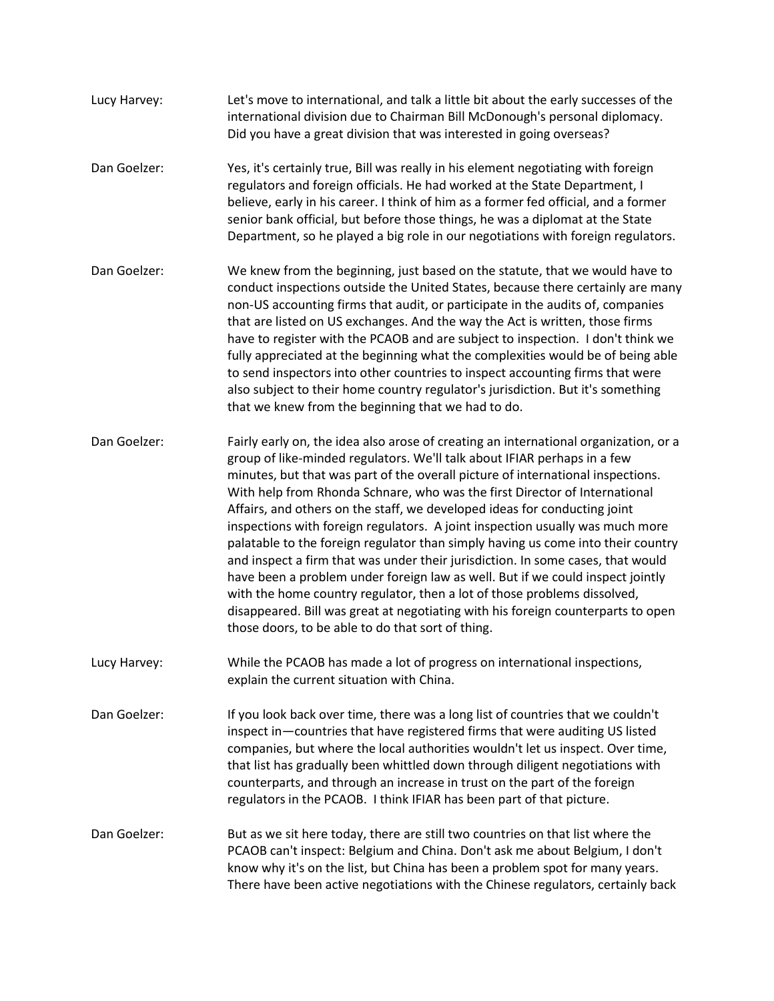- Lucy Harvey: Let's move to international, and talk a little bit about the early successes of the international division due to Chairman Bill McDonough's personal diplomacy. Did you have a great division that was interested in going overseas?
- Dan Goelzer: Yes, it's certainly true, Bill was really in his element negotiating with foreign regulators and foreign officials. He had worked at the State Department, I believe, early in his career. I think of him as a former fed official, and a former senior bank official, but before those things, he was a diplomat at the State Department, so he played a big role in our negotiations with foreign regulators.
- Dan Goelzer: We knew from the beginning, just based on the statute, that we would have to conduct inspections outside the United States, because there certainly are many non-US accounting firms that audit, or participate in the audits of, companies that are listed on US exchanges. And the way the Act is written, those firms have to register with the PCAOB and are subject to inspection. I don't think we fully appreciated at the beginning what the complexities would be of being able to send inspectors into other countries to inspect accounting firms that were also subject to their home country regulator's jurisdiction. But it's something that we knew from the beginning that we had to do.
- Dan Goelzer: Fairly early on, the idea also arose of creating an international organization, or a group of like-minded regulators. We'll talk about IFIAR perhaps in a few minutes, but that was part of the overall picture of international inspections. With help from Rhonda Schnare, who was the first Director of International Affairs, and others on the staff, we developed ideas for conducting joint inspections with foreign regulators. A joint inspection usually was much more palatable to the foreign regulator than simply having us come into their country and inspect a firm that was under their jurisdiction. In some cases, that would have been a problem under foreign law as well. But if we could inspect jointly with the home country regulator, then a lot of those problems dissolved, disappeared. Bill was great at negotiating with his foreign counterparts to open those doors, to be able to do that sort of thing.
- Lucy Harvey: While the PCAOB has made a lot of progress on international inspections, explain the current situation with China.
- Dan Goelzer: If you look back over time, there was a long list of countries that we couldn't inspect in—countries that have registered firms that were auditing US listed companies, but where the local authorities wouldn't let us inspect. Over time, that list has gradually been whittled down through diligent negotiations with counterparts, and through an increase in trust on the part of the foreign regulators in the PCAOB. I think IFIAR has been part of that picture.
- Dan Goelzer: But as we sit here today, there are still two countries on that list where the PCAOB can't inspect: Belgium and China. Don't ask me about Belgium, I don't know why it's on the list, but China has been a problem spot for many years. There have been active negotiations with the Chinese regulators, certainly back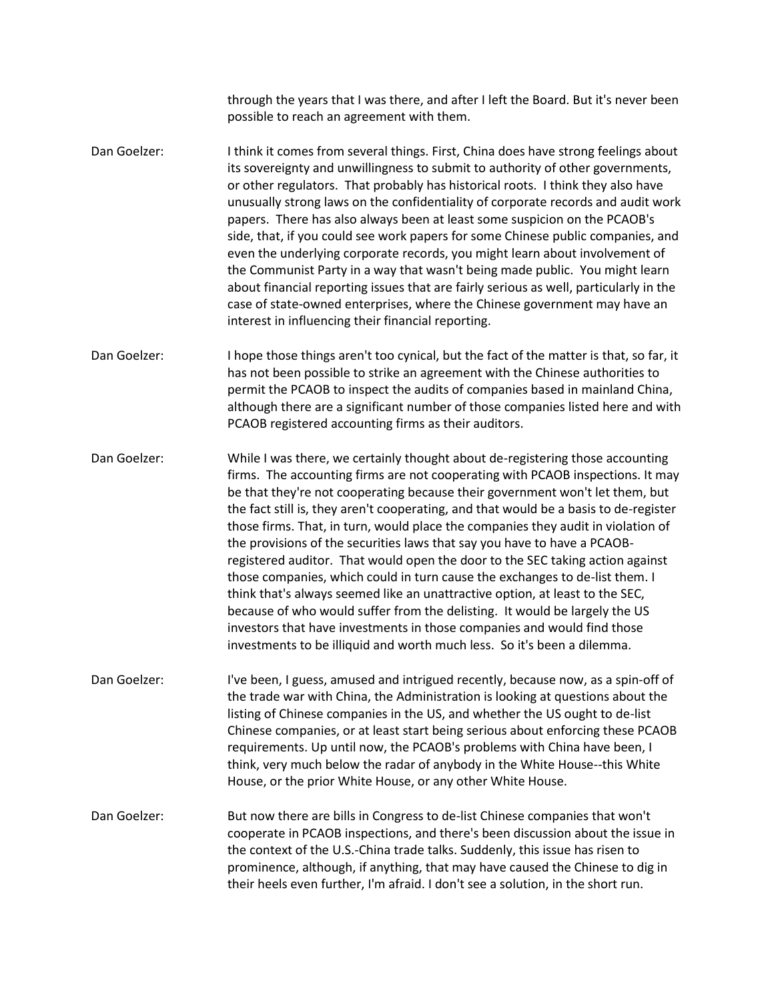through the years that I was there, and after I left the Board. But it's never been possible to reach an agreement with them.

- Dan Goelzer: I think it comes from several things. First, China does have strong feelings about its sovereignty and unwillingness to submit to authority of other governments, or other regulators. That probably has historical roots. I think they also have unusually strong laws on the confidentiality of corporate records and audit work papers. There has also always been at least some suspicion on the PCAOB's side, that, if you could see work papers for some Chinese public companies, and even the underlying corporate records, you might learn about involvement of the Communist Party in a way that wasn't being made public. You might learn about financial reporting issues that are fairly serious as well, particularly in the case of state-owned enterprises, where the Chinese government may have an interest in influencing their financial reporting.
- Dan Goelzer: I hope those things aren't too cynical, but the fact of the matter is that, so far, it has not been possible to strike an agreement with the Chinese authorities to permit the PCAOB to inspect the audits of companies based in mainland China, although there are a significant number of those companies listed here and with PCAOB registered accounting firms as their auditors.
- Dan Goelzer: While I was there, we certainly thought about de-registering those accounting firms. The accounting firms are not cooperating with PCAOB inspections. It may be that they're not cooperating because their government won't let them, but the fact still is, they aren't cooperating, and that would be a basis to de-register those firms. That, in turn, would place the companies they audit in violation of the provisions of the securities laws that say you have to have a PCAOBregistered auditor. That would open the door to the SEC taking action against those companies, which could in turn cause the exchanges to de-list them. I think that's always seemed like an unattractive option, at least to the SEC, because of who would suffer from the delisting. It would be largely the US investors that have investments in those companies and would find those investments to be illiquid and worth much less. So it's been a dilemma.
- Dan Goelzer: I've been, I guess, amused and intrigued recently, because now, as a spin-off of the trade war with China, the Administration is looking at questions about the listing of Chinese companies in the US, and whether the US ought to de-list Chinese companies, or at least start being serious about enforcing these PCAOB requirements. Up until now, the PCAOB's problems with China have been, I think, very much below the radar of anybody in the White House--this White House, or the prior White House, or any other White House.
- Dan Goelzer: But now there are bills in Congress to de-list Chinese companies that won't cooperate in PCAOB inspections, and there's been discussion about the issue in the context of the U.S.-China trade talks. Suddenly, this issue has risen to prominence, although, if anything, that may have caused the Chinese to dig in their heels even further, I'm afraid. I don't see a solution, in the short run.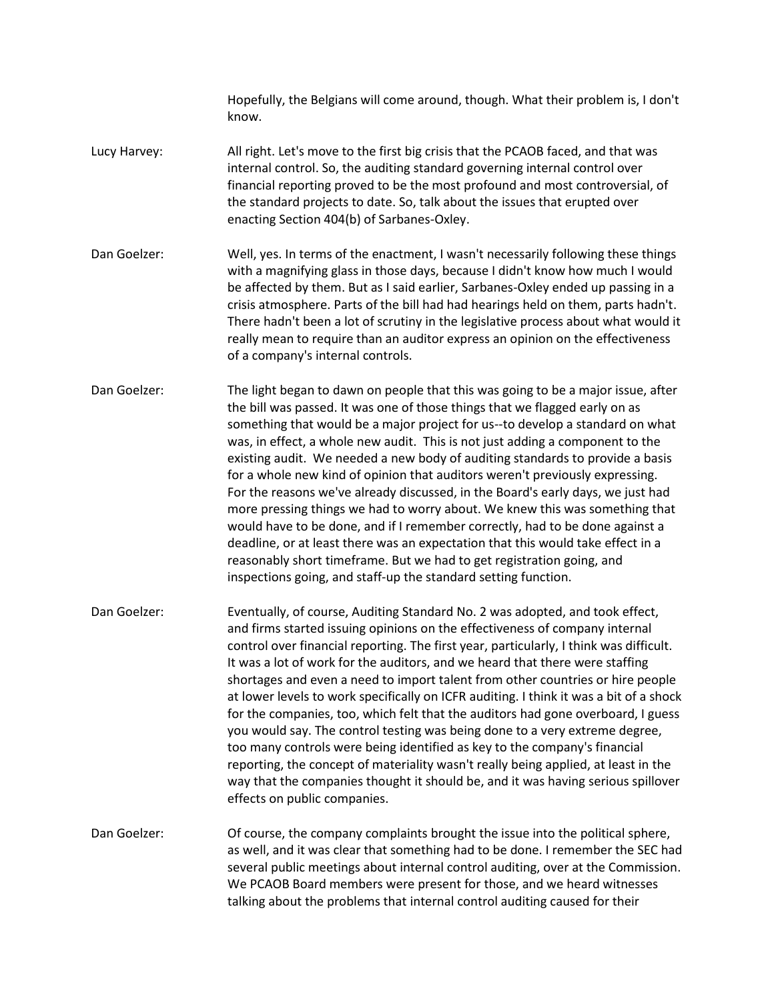Hopefully, the Belgians will come around, though. What their problem is, I don't know.

- Lucy Harvey: All right. Let's move to the first big crisis that the PCAOB faced, and that was internal control. So, the auditing standard governing internal control over financial reporting proved to be the most profound and most controversial, of the standard projects to date. So, talk about the issues that erupted over enacting Section 404(b) of Sarbanes-Oxley.
- Dan Goelzer: Well, yes. In terms of the enactment, I wasn't necessarily following these things with a magnifying glass in those days, because I didn't know how much I would be affected by them. But as I said earlier, Sarbanes-Oxley ended up passing in a crisis atmosphere. Parts of the bill had had hearings held on them, parts hadn't. There hadn't been a lot of scrutiny in the legislative process about what would it really mean to require than an auditor express an opinion on the effectiveness of a company's internal controls.
- Dan Goelzer: The light began to dawn on people that this was going to be a major issue, after the bill was passed. It was one of those things that we flagged early on as something that would be a major project for us--to develop a standard on what was, in effect, a whole new audit. This is not just adding a component to the existing audit. We needed a new body of auditing standards to provide a basis for a whole new kind of opinion that auditors weren't previously expressing. For the reasons we've already discussed, in the Board's early days, we just had more pressing things we had to worry about. We knew this was something that would have to be done, and if I remember correctly, had to be done against a deadline, or at least there was an expectation that this would take effect in a reasonably short timeframe. But we had to get registration going, and inspections going, and staff-up the standard setting function.
- Dan Goelzer: Eventually, of course, Auditing Standard No. 2 was adopted, and took effect, and firms started issuing opinions on the effectiveness of company internal control over financial reporting. The first year, particularly, I think was difficult. It was a lot of work for the auditors, and we heard that there were staffing shortages and even a need to import talent from other countries or hire people at lower levels to work specifically on ICFR auditing. I think it was a bit of a shock for the companies, too, which felt that the auditors had gone overboard, I guess you would say. The control testing was being done to a very extreme degree, too many controls were being identified as key to the company's financial reporting, the concept of materiality wasn't really being applied, at least in the way that the companies thought it should be, and it was having serious spillover effects on public companies.
- Dan Goelzer: Of course, the company complaints brought the issue into the political sphere, as well, and it was clear that something had to be done. I remember the SEC had several public meetings about internal control auditing, over at the Commission. We PCAOB Board members were present for those, and we heard witnesses talking about the problems that internal control auditing caused for their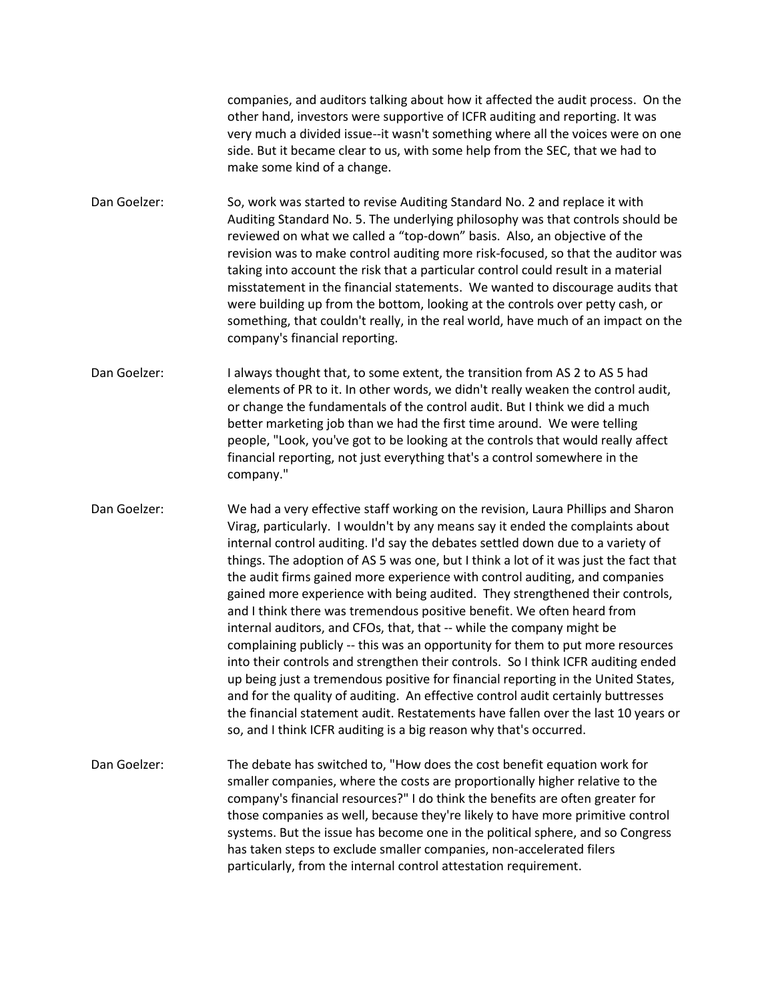companies, and auditors talking about how it affected the audit process. On the other hand, investors were supportive of ICFR auditing and reporting. It was very much a divided issue--it wasn't something where all the voices were on one side. But it became clear to us, with some help from the SEC, that we had to make some kind of a change.

Dan Goelzer: So, work was started to revise Auditing Standard No. 2 and replace it with Auditing Standard No. 5. The underlying philosophy was that controls should be reviewed on what we called a "top-down" basis. Also, an objective of the revision was to make control auditing more risk-focused, so that the auditor was taking into account the risk that a particular control could result in a material misstatement in the financial statements. We wanted to discourage audits that were building up from the bottom, looking at the controls over petty cash, or something, that couldn't really, in the real world, have much of an impact on the company's financial reporting.

Dan Goelzer: I always thought that, to some extent, the transition from AS 2 to AS 5 had elements of PR to it. In other words, we didn't really weaken the control audit, or change the fundamentals of the control audit. But I think we did a much better marketing job than we had the first time around. We were telling people, "Look, you've got to be looking at the controls that would really affect financial reporting, not just everything that's a control somewhere in the company."

Dan Goelzer: We had a very effective staff working on the revision, Laura Phillips and Sharon Virag, particularly. I wouldn't by any means say it ended the complaints about internal control auditing. I'd say the debates settled down due to a variety of things. The adoption of AS 5 was one, but I think a lot of it was just the fact that the audit firms gained more experience with control auditing, and companies gained more experience with being audited. They strengthened their controls, and I think there was tremendous positive benefit. We often heard from internal auditors, and CFOs, that, that -- while the company might be complaining publicly -- this was an opportunity for them to put more resources into their controls and strengthen their controls. So I think ICFR auditing ended up being just a tremendous positive for financial reporting in the United States, and for the quality of auditing. An effective control audit certainly buttresses the financial statement audit. Restatements have fallen over the last 10 years or so, and I think ICFR auditing is a big reason why that's occurred.

Dan Goelzer: The debate has switched to, "How does the cost benefit equation work for smaller companies, where the costs are proportionally higher relative to the company's financial resources?" I do think the benefits are often greater for those companies as well, because they're likely to have more primitive control systems. But the issue has become one in the political sphere, and so Congress has taken steps to exclude smaller companies, non-accelerated filers particularly, from the internal control attestation requirement.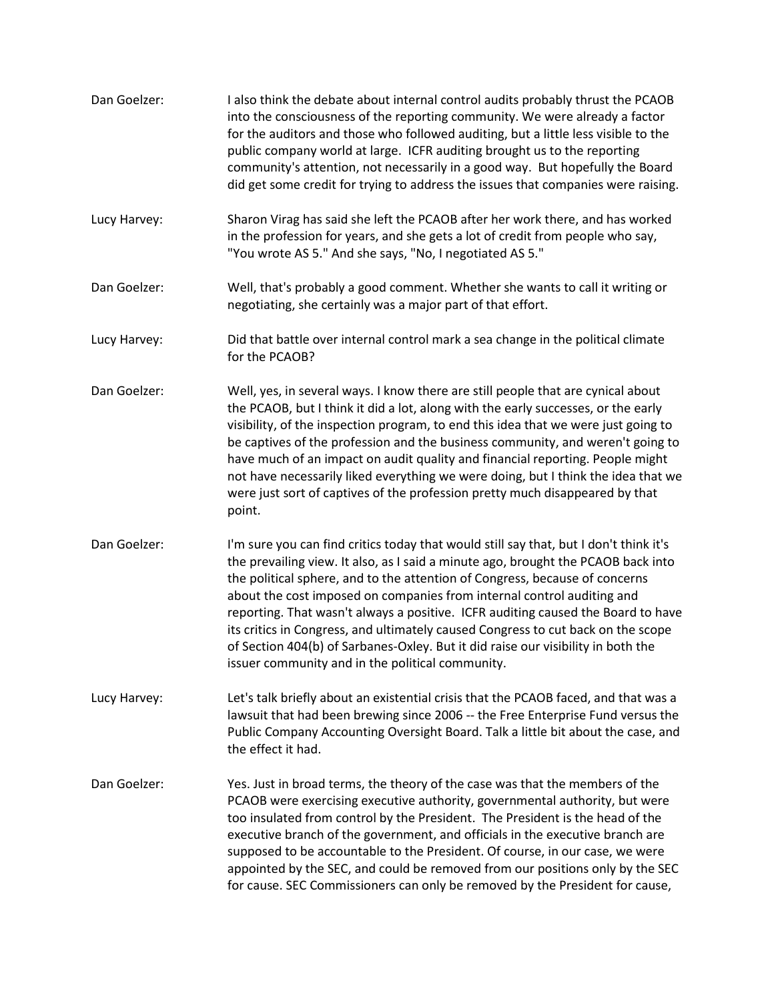| Dan Goelzer: | I also think the debate about internal control audits probably thrust the PCAOB<br>into the consciousness of the reporting community. We were already a factor<br>for the auditors and those who followed auditing, but a little less visible to the<br>public company world at large. ICFR auditing brought us to the reporting<br>community's attention, not necessarily in a good way. But hopefully the Board<br>did get some credit for trying to address the issues that companies were raising.                                                                                                                                              |
|--------------|-----------------------------------------------------------------------------------------------------------------------------------------------------------------------------------------------------------------------------------------------------------------------------------------------------------------------------------------------------------------------------------------------------------------------------------------------------------------------------------------------------------------------------------------------------------------------------------------------------------------------------------------------------|
| Lucy Harvey: | Sharon Virag has said she left the PCAOB after her work there, and has worked<br>in the profession for years, and she gets a lot of credit from people who say,<br>"You wrote AS 5." And she says, "No, I negotiated AS 5."                                                                                                                                                                                                                                                                                                                                                                                                                         |
| Dan Goelzer: | Well, that's probably a good comment. Whether she wants to call it writing or<br>negotiating, she certainly was a major part of that effort.                                                                                                                                                                                                                                                                                                                                                                                                                                                                                                        |
| Lucy Harvey: | Did that battle over internal control mark a sea change in the political climate<br>for the PCAOB?                                                                                                                                                                                                                                                                                                                                                                                                                                                                                                                                                  |
| Dan Goelzer: | Well, yes, in several ways. I know there are still people that are cynical about<br>the PCAOB, but I think it did a lot, along with the early successes, or the early<br>visibility, of the inspection program, to end this idea that we were just going to<br>be captives of the profession and the business community, and weren't going to<br>have much of an impact on audit quality and financial reporting. People might<br>not have necessarily liked everything we were doing, but I think the idea that we<br>were just sort of captives of the profession pretty much disappeared by that<br>point.                                       |
| Dan Goelzer: | I'm sure you can find critics today that would still say that, but I don't think it's<br>the prevailing view. It also, as I said a minute ago, brought the PCAOB back into<br>the political sphere, and to the attention of Congress, because of concerns<br>about the cost imposed on companies from internal control auditing and<br>reporting. That wasn't always a positive. ICFR auditing caused the Board to have<br>its critics in Congress, and ultimately caused Congress to cut back on the scope<br>of Section 404(b) of Sarbanes-Oxley. But it did raise our visibility in both the<br>issuer community and in the political community. |
| Lucy Harvey: | Let's talk briefly about an existential crisis that the PCAOB faced, and that was a<br>lawsuit that had been brewing since 2006 -- the Free Enterprise Fund versus the<br>Public Company Accounting Oversight Board. Talk a little bit about the case, and<br>the effect it had.                                                                                                                                                                                                                                                                                                                                                                    |
| Dan Goelzer: | Yes. Just in broad terms, the theory of the case was that the members of the<br>PCAOB were exercising executive authority, governmental authority, but were<br>too insulated from control by the President. The President is the head of the<br>executive branch of the government, and officials in the executive branch are<br>supposed to be accountable to the President. Of course, in our case, we were<br>appointed by the SEC, and could be removed from our positions only by the SEC<br>for cause. SEC Commissioners can only be removed by the President for cause,                                                                      |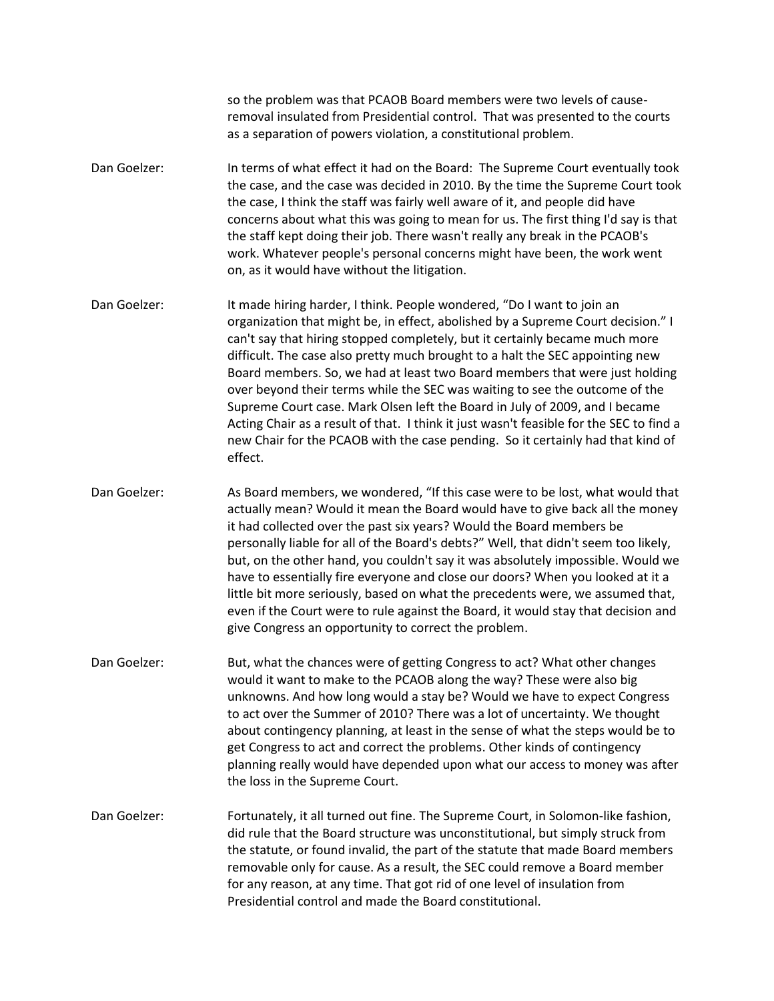so the problem was that PCAOB Board members were two levels of causeremoval insulated from Presidential control. That was presented to the courts as a separation of powers violation, a constitutional problem.

- Dan Goelzer: In terms of what effect it had on the Board: The Supreme Court eventually took the case, and the case was decided in 2010. By the time the Supreme Court took the case, I think the staff was fairly well aware of it, and people did have concerns about what this was going to mean for us. The first thing I'd say is that the staff kept doing their job. There wasn't really any break in the PCAOB's work. Whatever people's personal concerns might have been, the work went on, as it would have without the litigation.
- Dan Goelzer: It made hiring harder, I think. People wondered, "Do I want to join an organization that might be, in effect, abolished by a Supreme Court decision." I can't say that hiring stopped completely, but it certainly became much more difficult. The case also pretty much brought to a halt the SEC appointing new Board members. So, we had at least two Board members that were just holding over beyond their terms while the SEC was waiting to see the outcome of the Supreme Court case. Mark Olsen left the Board in July of 2009, and I became Acting Chair as a result of that. I think it just wasn't feasible for the SEC to find a new Chair for the PCAOB with the case pending. So it certainly had that kind of effect.
- Dan Goelzer: As Board members, we wondered, "If this case were to be lost, what would that actually mean? Would it mean the Board would have to give back all the money it had collected over the past six years? Would the Board members be personally liable for all of the Board's debts?" Well, that didn't seem too likely, but, on the other hand, you couldn't say it was absolutely impossible. Would we have to essentially fire everyone and close our doors? When you looked at it a little bit more seriously, based on what the precedents were, we assumed that, even if the Court were to rule against the Board, it would stay that decision and give Congress an opportunity to correct the problem.
- Dan Goelzer: But, what the chances were of getting Congress to act? What other changes would it want to make to the PCAOB along the way? These were also big unknowns. And how long would a stay be? Would we have to expect Congress to act over the Summer of 2010? There was a lot of uncertainty. We thought about contingency planning, at least in the sense of what the steps would be to get Congress to act and correct the problems. Other kinds of contingency planning really would have depended upon what our access to money was after the loss in the Supreme Court.
- Dan Goelzer: Fortunately, it all turned out fine. The Supreme Court, in Solomon-like fashion, did rule that the Board structure was unconstitutional, but simply struck from the statute, or found invalid, the part of the statute that made Board members removable only for cause. As a result, the SEC could remove a Board member for any reason, at any time. That got rid of one level of insulation from Presidential control and made the Board constitutional.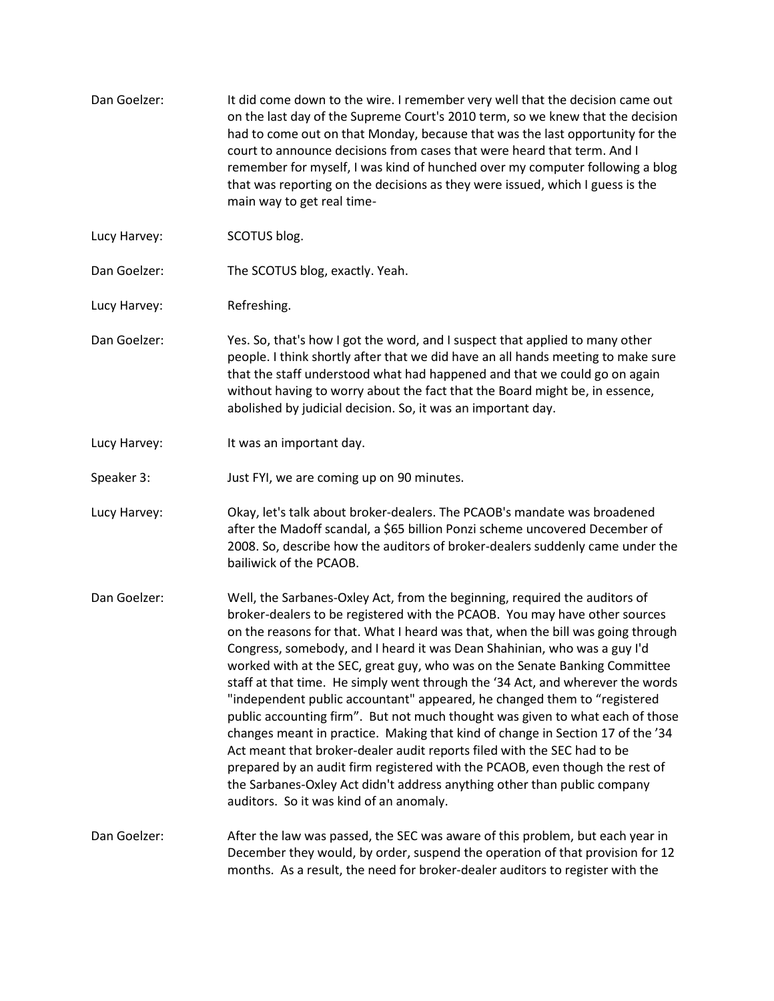- Dan Goelzer: It did come down to the wire. I remember very well that the decision came out on the last day of the Supreme Court's 2010 term, so we knew that the decision had to come out on that Monday, because that was the last opportunity for the court to announce decisions from cases that were heard that term. And I remember for myself, I was kind of hunched over my computer following a blog that was reporting on the decisions as they were issued, which I guess is the main way to get real time-
- Lucy Harvey: SCOTUS blog.
- Dan Goelzer: The SCOTUS blog, exactly. Yeah.
- Lucy Harvey: Refreshing.
- Dan Goelzer: Yes. So, that's how I got the word, and I suspect that applied to many other people. I think shortly after that we did have an all hands meeting to make sure that the staff understood what had happened and that we could go on again without having to worry about the fact that the Board might be, in essence, abolished by judicial decision. So, it was an important day.
- Lucy Harvey: It was an important day.
- Speaker 3: Just FYI, we are coming up on 90 minutes.
- Lucy Harvey: Okay, let's talk about broker-dealers. The PCAOB's mandate was broadened after the Madoff scandal, a \$65 billion Ponzi scheme uncovered December of 2008. So, describe how the auditors of broker-dealers suddenly came under the bailiwick of the PCAOB.
- Dan Goelzer: Well, the Sarbanes-Oxley Act, from the beginning, required the auditors of broker-dealers to be registered with the PCAOB. You may have other sources on the reasons for that. What I heard was that, when the bill was going through Congress, somebody, and I heard it was Dean Shahinian, who was a guy I'd worked with at the SEC, great guy, who was on the Senate Banking Committee staff at that time. He simply went through the '34 Act, and wherever the words "independent public accountant" appeared, he changed them to "registered public accounting firm". But not much thought was given to what each of those changes meant in practice. Making that kind of change in Section 17 of the '34 Act meant that broker-dealer audit reports filed with the SEC had to be prepared by an audit firm registered with the PCAOB, even though the rest of the Sarbanes-Oxley Act didn't address anything other than public company auditors. So it was kind of an anomaly.
- Dan Goelzer: After the law was passed, the SEC was aware of this problem, but each year in December they would, by order, suspend the operation of that provision for 12 months. As a result, the need for broker-dealer auditors to register with the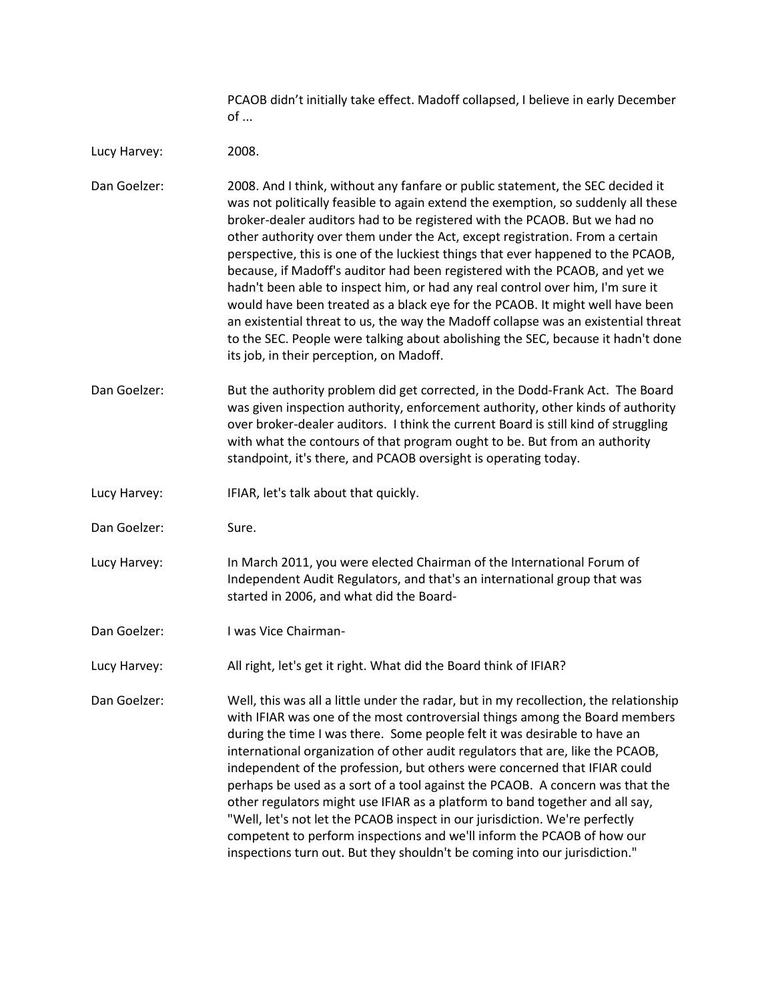PCAOB didn't initially take effect. Madoff collapsed, I believe in early December of ...

Lucy Harvey: 2008.

Dan Goelzer: 2008. And I think, without any fanfare or public statement, the SEC decided it was not politically feasible to again extend the exemption, so suddenly all these broker-dealer auditors had to be registered with the PCAOB. But we had no other authority over them under the Act, except registration. From a certain perspective, this is one of the luckiest things that ever happened to the PCAOB, because, if Madoff's auditor had been registered with the PCAOB, and yet we hadn't been able to inspect him, or had any real control over him, I'm sure it would have been treated as a black eye for the PCAOB. It might well have been an existential threat to us, the way the Madoff collapse was an existential threat to the SEC. People were talking about abolishing the SEC, because it hadn't done its job, in their perception, on Madoff.

- Dan Goelzer: But the authority problem did get corrected, in the Dodd-Frank Act. The Board was given inspection authority, enforcement authority, other kinds of authority over broker-dealer auditors. I think the current Board is still kind of struggling with what the contours of that program ought to be. But from an authority standpoint, it's there, and PCAOB oversight is operating today.
- Lucy Harvey: IFIAR, let's talk about that quickly.
- Dan Goelzer: Sure.
- Lucy Harvey: In March 2011, you were elected Chairman of the International Forum of Independent Audit Regulators, and that's an international group that was started in 2006, and what did the Board-
- Dan Goelzer: I was Vice Chairman-
- Lucy Harvey: All right, let's get it right. What did the Board think of IFIAR?

Dan Goelzer: Well, this was all a little under the radar, but in my recollection, the relationship with IFIAR was one of the most controversial things among the Board members during the time I was there. Some people felt it was desirable to have an international organization of other audit regulators that are, like the PCAOB, independent of the profession, but others were concerned that IFIAR could perhaps be used as a sort of a tool against the PCAOB. A concern was that the other regulators might use IFIAR as a platform to band together and all say, "Well, let's not let the PCAOB inspect in our jurisdiction. We're perfectly competent to perform inspections and we'll inform the PCAOB of how our inspections turn out. But they shouldn't be coming into our jurisdiction."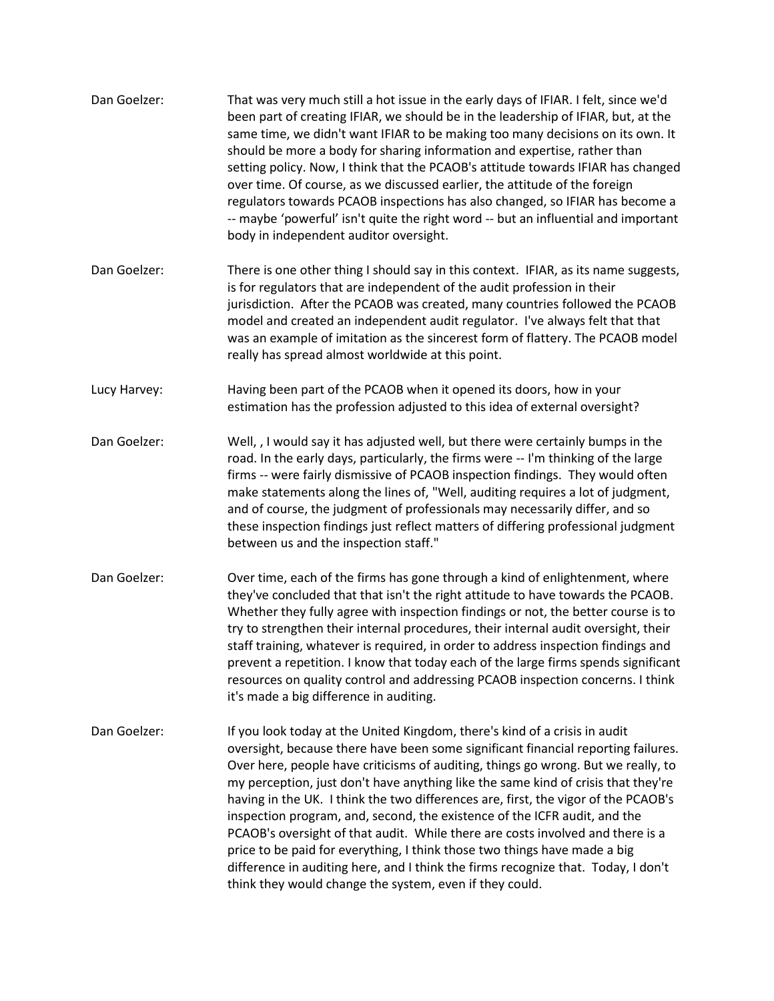| Dan Goelzer: | That was very much still a hot issue in the early days of IFIAR. I felt, since we'd<br>been part of creating IFIAR, we should be in the leadership of IFIAR, but, at the<br>same time, we didn't want IFIAR to be making too many decisions on its own. It<br>should be more a body for sharing information and expertise, rather than<br>setting policy. Now, I think that the PCAOB's attitude towards IFIAR has changed<br>over time. Of course, as we discussed earlier, the attitude of the foreign<br>regulators towards PCAOB inspections has also changed, so IFIAR has become a<br>-- maybe 'powerful' isn't quite the right word -- but an influential and important<br>body in independent auditor oversight.                                                                                                    |
|--------------|-----------------------------------------------------------------------------------------------------------------------------------------------------------------------------------------------------------------------------------------------------------------------------------------------------------------------------------------------------------------------------------------------------------------------------------------------------------------------------------------------------------------------------------------------------------------------------------------------------------------------------------------------------------------------------------------------------------------------------------------------------------------------------------------------------------------------------|
| Dan Goelzer: | There is one other thing I should say in this context. IFIAR, as its name suggests,<br>is for regulators that are independent of the audit profession in their<br>jurisdiction. After the PCAOB was created, many countries followed the PCAOB<br>model and created an independent audit regulator. I've always felt that that<br>was an example of imitation as the sincerest form of flattery. The PCAOB model<br>really has spread almost worldwide at this point.                                                                                                                                                                                                                                                                                                                                                       |
| Lucy Harvey: | Having been part of the PCAOB when it opened its doors, how in your<br>estimation has the profession adjusted to this idea of external oversight?                                                                                                                                                                                                                                                                                                                                                                                                                                                                                                                                                                                                                                                                           |
| Dan Goelzer: | Well, , I would say it has adjusted well, but there were certainly bumps in the<br>road. In the early days, particularly, the firms were -- I'm thinking of the large<br>firms -- were fairly dismissive of PCAOB inspection findings. They would often<br>make statements along the lines of, "Well, auditing requires a lot of judgment,<br>and of course, the judgment of professionals may necessarily differ, and so<br>these inspection findings just reflect matters of differing professional judgment<br>between us and the inspection staff."                                                                                                                                                                                                                                                                     |
| Dan Goelzer: | Over time, each of the firms has gone through a kind of enlightenment, where<br>they've concluded that that isn't the right attitude to have towards the PCAOB.<br>Whether they fully agree with inspection findings or not, the better course is to<br>try to strengthen their internal procedures, their internal audit oversight, their<br>staff training, whatever is required, in order to address inspection findings and<br>prevent a repetition. I know that today each of the large firms spends significant<br>resources on quality control and addressing PCAOB inspection concerns. I think<br>it's made a big difference in auditing.                                                                                                                                                                          |
| Dan Goelzer: | If you look today at the United Kingdom, there's kind of a crisis in audit<br>oversight, because there have been some significant financial reporting failures.<br>Over here, people have criticisms of auditing, things go wrong. But we really, to<br>my perception, just don't have anything like the same kind of crisis that they're<br>having in the UK. I think the two differences are, first, the vigor of the PCAOB's<br>inspection program, and, second, the existence of the ICFR audit, and the<br>PCAOB's oversight of that audit. While there are costs involved and there is a<br>price to be paid for everything, I think those two things have made a big<br>difference in auditing here, and I think the firms recognize that. Today, I don't<br>think they would change the system, even if they could. |